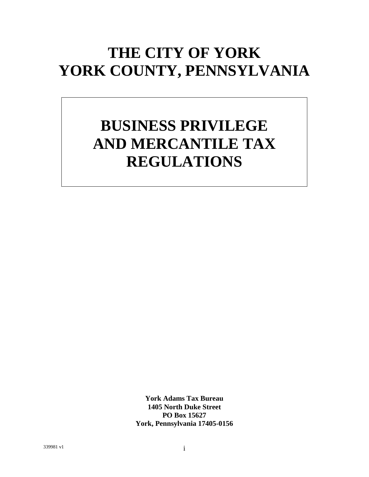# **THE CITY OF YORK YORK COUNTY, PENNSYLVANIA**

# **BUSINESS PRIVILEGE AND MERCANTILE TAX REGULATIONS**

**York Adams Tax Bureau 1405 North Duke Street PO Box 15627 York, Pennsylvania 17405-0156**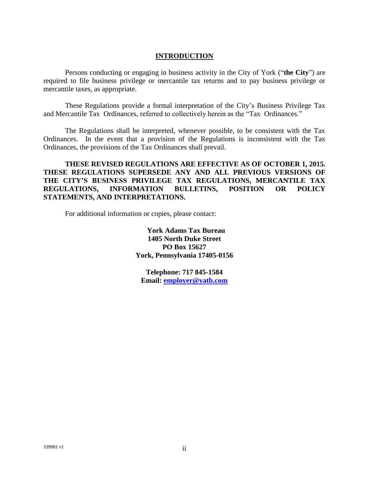#### **INTRODUCTION**

Persons conducting or engaging in business activity in the City of York ("**the City**") are required to file business privilege or mercantile tax returns and to pay business privilege or mercantile taxes, as appropriate.

These Regulations provide a formal interpretation of the City's Business Privilege Tax and Mercantile Tax Ordinances, referred to collectively herein as the "Tax Ordinances."

The Regulations shall be interpreted, whenever possible, to be consistent with the Tax Ordinances. In the event that a provision of the Regulations is inconsistent with the Tax Ordinances, the provisions of the Tax Ordinances shall prevail.

**THESE REVISED REGULATIONS ARE EFFECTIVE AS OF OCTOBER 1, 2015. THESE REGULATIONS SUPERSEDE ANY AND ALL PREVIOUS VERSIONS OF THE CITY'S BUSINESS PRIVILEGE TAX REGULATIONS, MERCANTILE TAX REGULATIONS, INFORMATION BULLETINS, POSITION OR POLICY STATEMENTS, AND INTERPRETATIONS.**

For additional information or copies, please contact:

**York Adams Tax Bureau 1405 North Duke Street PO Box 15627 York, Pennsylvania 17405-0156**

**Telephone: 717 845-1584 Email: [employer@yatb.com](mailto:employer@yatb.com)**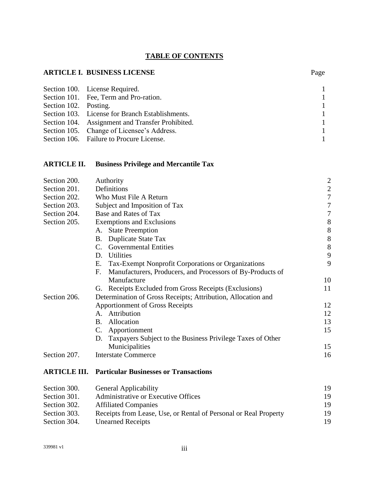## **TABLE OF CONTENTS**

# **ARTICLE I. BUSINESS LICENSE** Page

|                       | Section 100. License Required.                   |                |
|-----------------------|--------------------------------------------------|----------------|
|                       | Section 101. Fee, Term and Pro-ration.           | -1             |
| Section 102. Posting. |                                                  | -1             |
|                       | Section 103. License for Branch Establishments.  | -1             |
|                       | Section 104. Assignment and Transfer Prohibited. |                |
|                       | Section 105. Change of Licensee's Address.       | $\overline{1}$ |
|                       | Section 106. Failure to Procure License.         |                |

# **ARTICLE II. Business Privilege and Mercantile Tax**

| Section 200.        | Authority                                                        | $\overline{\mathbf{c}}$                    |  |  |  |
|---------------------|------------------------------------------------------------------|--------------------------------------------|--|--|--|
| Section 201.        | Definitions                                                      |                                            |  |  |  |
| Section 202.        | Who Must File A Return                                           |                                            |  |  |  |
| Section 203.        | Subject and Imposition of Tax                                    | $\overline{7}$                             |  |  |  |
| Section 204.        | Base and Rates of Tax                                            | $\overline{7}$                             |  |  |  |
| Section 205.        | <b>Exemptions and Exclusions</b>                                 | 8                                          |  |  |  |
|                     | <b>State Preemption</b><br>А.                                    |                                            |  |  |  |
|                     | <b>B.</b><br><b>Duplicate State Tax</b>                          | $\begin{array}{c} 8 \\ 8 \\ 8 \end{array}$ |  |  |  |
|                     | <b>Governmental Entities</b><br>$\mathcal{C}$ .                  |                                            |  |  |  |
|                     | <b>Utilities</b><br>D.                                           | 9                                          |  |  |  |
|                     | Tax-Exempt Nonprofit Corporations or Organizations<br>Е.         | 9                                          |  |  |  |
|                     | F.<br>Manufacturers, Producers, and Processors of By-Products of |                                            |  |  |  |
|                     | Manufacture                                                      | 10                                         |  |  |  |
|                     | G. Receipts Excluded from Gross Receipts (Exclusions)            | 11                                         |  |  |  |
| Section 206.        | Determination of Gross Receipts; Attribution, Allocation and     |                                            |  |  |  |
|                     | <b>Apportionment of Gross Receipts</b>                           | 12                                         |  |  |  |
|                     | A. Attribution                                                   | 12                                         |  |  |  |
|                     | Allocation<br>B.                                                 | 13                                         |  |  |  |
|                     | Apportionment<br>$C_{\cdot}$                                     | 15                                         |  |  |  |
|                     | Taxpayers Subject to the Business Privilege Taxes of Other<br>D. |                                            |  |  |  |
|                     | Municipalities                                                   | 15                                         |  |  |  |
| Section 207.        | <b>Interstate Commerce</b>                                       | 16                                         |  |  |  |
| <b>ARTICLE III.</b> | <b>Particular Businesses or Transactions</b>                     |                                            |  |  |  |

| Section 300. | <b>General Applicability</b>                                     | 19 |
|--------------|------------------------------------------------------------------|----|
| Section 301. | Administrative or Executive Offices                              | 19 |
| Section 302. | <b>Affiliated Companies</b>                                      | 19 |
| Section 303. | Receipts from Lease, Use, or Rental of Personal or Real Property | 19 |
| Section 304. | <b>Unearned Receipts</b>                                         | 19 |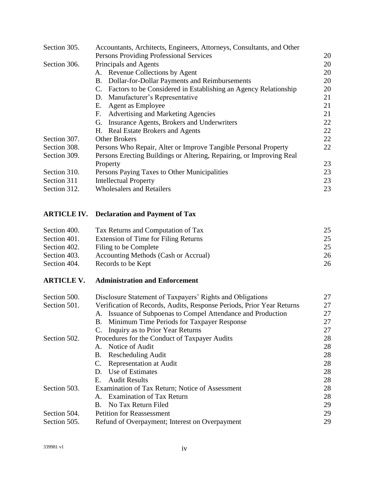| Section 305. | Accountants, Architects, Engineers, Attorneys, Consultants, and Other |    |  |  |  |
|--------------|-----------------------------------------------------------------------|----|--|--|--|
|              | Persons Providing Professional Services                               |    |  |  |  |
| Section 306. | Principals and Agents                                                 | 20 |  |  |  |
|              | A. Revenue Collections by Agent                                       | 20 |  |  |  |
|              | Dollar-for-Dollar Payments and Reimbursements<br>В.                   | 20 |  |  |  |
|              | C. Factors to be Considered in Establishing an Agency Relationship    | 20 |  |  |  |
|              | Manufacturer's Representative<br>D.                                   | 21 |  |  |  |
|              | Agent as Employee<br>Е.                                               | 21 |  |  |  |
|              | Advertising and Marketing Agencies<br>F.                              | 21 |  |  |  |
|              | Insurance Agents, Brokers and Underwriters<br>G.                      | 22 |  |  |  |
|              | H. Real Estate Brokers and Agents                                     | 22 |  |  |  |
| Section 307. | <b>Other Brokers</b>                                                  |    |  |  |  |
| Section 308. | Persons Who Repair, Alter or Improve Tangible Personal Property       | 22 |  |  |  |
| Section 309. | Persons Erecting Buildings or Altering, Repairing, or Improving Real  |    |  |  |  |
|              | Property                                                              | 23 |  |  |  |
| Section 310. | Persons Paying Taxes to Other Municipalities                          | 23 |  |  |  |
| Section 311  | <b>Intellectual Property</b>                                          | 23 |  |  |  |
| Section 312. | <b>Wholesalers and Retailers</b>                                      | 23 |  |  |  |

# **ARTICLE IV. Declaration and Payment of Tax**

| Section 400. | Tax Returns and Computation of Tax   | 25 |
|--------------|--------------------------------------|----|
| Section 401. | Extension of Time for Filing Returns | 25 |
| Section 402. | Filing to be Complete                | 25 |
| Section 403. | Accounting Methods (Cash or Accrual) | 26 |
| Section 404. | Records to be Kept                   | 26 |

# **ARTICLE V. Administration and Enforcement**

| Section 500. | Disclosure Statement of Taxpayers' Rights and Obligations             |    |  |  |
|--------------|-----------------------------------------------------------------------|----|--|--|
| Section 501. | Verification of Records, Audits, Response Periods, Prior Year Returns |    |  |  |
|              | A. Issuance of Subpoenas to Compel Attendance and Production          | 27 |  |  |
|              | Minimum Time Periods for Taxpayer Response<br>В.                      | 27 |  |  |
|              | C. Inquiry as to Prior Year Returns                                   | 27 |  |  |
| Section 502. | Procedures for the Conduct of Taxpayer Audits                         | 28 |  |  |
|              | Notice of Audit<br>$\mathsf{A}_{\cdot}$                               | 28 |  |  |
|              | <b>Rescheduling Audit</b><br>B.                                       | 28 |  |  |
|              | <b>Representation at Audit</b><br>$C_{\cdot}$                         | 28 |  |  |
|              | Use of Estimates<br>D.                                                | 28 |  |  |
|              | <b>Audit Results</b><br>Е.                                            | 28 |  |  |
| Section 503. | Examination of Tax Return; Notice of Assessment                       | 28 |  |  |
|              | <b>Examination of Tax Return</b>                                      | 28 |  |  |
|              | B. No Tax Return Filed                                                | 29 |  |  |
| Section 504. | <b>Petition for Reassessment</b>                                      |    |  |  |
| Section 505. | Refund of Overpayment; Interest on Overpayment                        |    |  |  |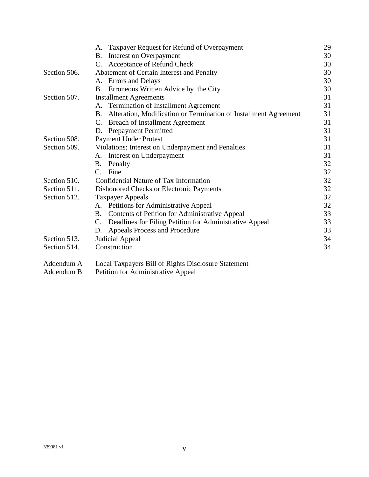|              | Taxpayer Request for Refund of Overpayment<br>A.                          | 29 |  |
|--------------|---------------------------------------------------------------------------|----|--|
|              | Interest on Overpayment<br><b>B.</b>                                      | 30 |  |
|              | Acceptance of Refund Check<br>C.                                          | 30 |  |
| Section 506. | Abatement of Certain Interest and Penalty                                 |    |  |
|              | Errors and Delays<br>А.                                                   | 30 |  |
|              | Erroneous Written Advice by the City<br>B.                                | 30 |  |
| Section 507. | <b>Installment Agreements</b>                                             | 31 |  |
|              | A. Termination of Installment Agreement                                   | 31 |  |
|              | Alteration, Modification or Termination of Installment Agreement<br>B.    | 31 |  |
|              | <b>Breach of Installment Agreement</b><br>C.                              | 31 |  |
|              | <b>Prepayment Permitted</b><br>D.                                         | 31 |  |
| Section 508. | <b>Payment Under Protest</b>                                              | 31 |  |
| Section 509. | Violations; Interest on Underpayment and Penalties                        | 31 |  |
|              | Interest on Underpayment<br>А.                                            | 31 |  |
|              | Β.<br>Penalty                                                             | 32 |  |
|              | Fine<br>$\mathbf{C}$ .                                                    | 32 |  |
| Section 510. | Confidential Nature of Tax Information                                    | 32 |  |
| Section 511. | Dishonored Checks or Electronic Payments                                  | 32 |  |
| Section 512. | <b>Taxpayer Appeals</b>                                                   | 32 |  |
|              | A. Petitions for Administrative Appeal                                    | 32 |  |
|              | Contents of Petition for Administrative Appeal<br>B.                      | 33 |  |
|              | Deadlines for Filing Petition for Administrative Appeal<br>$\mathbf{C}$ . | 33 |  |
|              | Appeals Process and Procedure<br>D.                                       | 33 |  |
| Section 513. | Judicial Appeal                                                           | 34 |  |
| Section 514. | Construction                                                              | 34 |  |
| Addendum A   | Local Taxpayers Bill of Rights Disclosure Statement                       |    |  |

Addendum B Petition for Administrative Appeal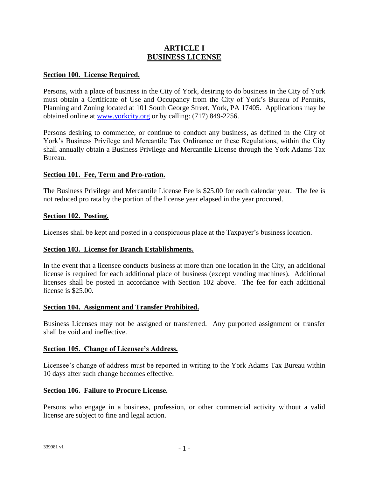# **ARTICLE I BUSINESS LICENSE**

#### **Section 100. License Required.**

Persons, with a place of business in the City of York, desiring to do business in the City of York must obtain a Certificate of Use and Occupancy from the City of York's Bureau of Permits, Planning and Zoning located at 101 South George Street, York, PA 17405. Applications may be obtained online at [www.yorkcity.org](http://www.yorkcity.org/) or by calling: (717) 849-2256.

Persons desiring to commence, or continue to conduct any business, as defined in the City of York's Business Privilege and Mercantile Tax Ordinance or these Regulations, within the City shall annually obtain a Business Privilege and Mercantile License through the York Adams Tax Bureau.

#### **Section 101. Fee, Term and Pro-ration.**

The Business Privilege and Mercantile License Fee is \$25.00 for each calendar year. The fee is not reduced pro rata by the portion of the license year elapsed in the year procured.

#### **Section 102. Posting.**

Licenses shall be kept and posted in a conspicuous place at the Taxpayer's business location.

#### **Section 103. License for Branch Establishments.**

In the event that a licensee conducts business at more than one location in the City, an additional license is required for each additional place of business (except vending machines). Additional licenses shall be posted in accordance with Section 102 above. The fee for each additional license is \$25.00.

#### **Section 104. Assignment and Transfer Prohibited.**

Business Licenses may not be assigned or transferred. Any purported assignment or transfer shall be void and ineffective.

#### **Section 105. Change of Licensee's Address.**

Licensee's change of address must be reported in writing to the York Adams Tax Bureau within 10 days after such change becomes effective.

#### **Section 106. Failure to Procure License.**

Persons who engage in a business, profession, or other commercial activity without a valid license are subject to fine and legal action.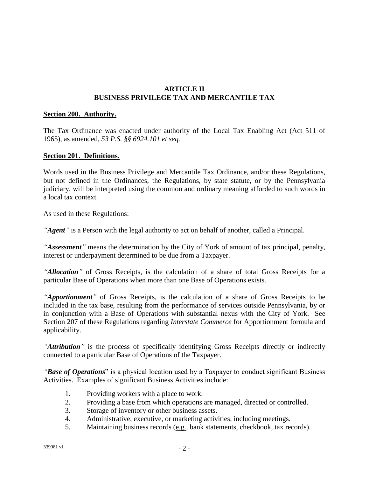#### **ARTICLE II BUSINESS PRIVILEGE TAX AND MERCANTILE TAX**

#### **Section 200. Authority.**

The Tax Ordinance was enacted under authority of the Local Tax Enabling Act (Act 511 of 1965), as amended, *53 P.S. §§ 6924.101 et seq.*

#### **Section 201. Definitions.**

Words used in the Business Privilege and Mercantile Tax Ordinance, and/or these Regulations, but not defined in the Ordinances, the Regulations, by state statute, or by the Pennsylvania judiciary, will be interpreted using the common and ordinary meaning afforded to such words in a local tax context.

As used in these Regulations:

*"Agent"* is a Person with the legal authority to act on behalf of another, called a Principal.

*"Assessment"* means the determination by the City of York of amount of tax principal, penalty, interest or underpayment determined to be due from a Taxpayer.

*"Allocation"* of Gross Receipts, is the calculation of a share of total Gross Receipts for a particular Base of Operations when more than one Base of Operations exists.

*"Apportionment"* of Gross Receipts, is the calculation of a share of Gross Receipts to be included in the tax base, resulting from the performance of services outside Pennsylvania, by or in conjunction with a Base of Operations with substantial nexus with the City of York. See Section 207 of these Regulations regarding *Interstate Commerce* for Apportionment formula and applicability.

*"Attribution"* is the process of specifically identifying Gross Receipts directly or indirectly connected to a particular Base of Operations of the Taxpayer.

*"Base of Operations*" is a physical location used by a Taxpayer to conduct significant Business Activities. Examples of significant Business Activities include:

- 1. Providing workers with a place to work.
- 2. Providing a base from which operations are managed, directed or controlled.
- 3. Storage of inventory or other business assets.
- 4. Administrative, executive, or marketing activities, including meetings.
- 5. Maintaining business records (e.g., bank statements, checkbook, tax records).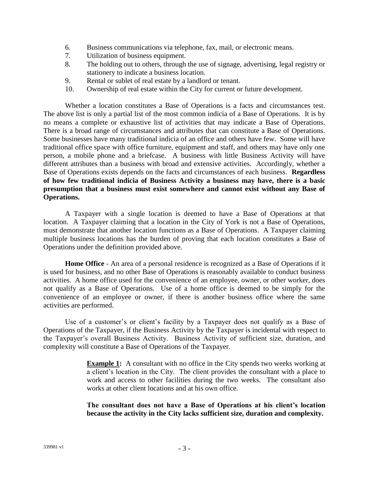- 6. Business communications via telephone, fax, mail, or electronic means.
- 7. Utilization of business equipment.
- 8. The holding out to others, through the use of signage, advertising, legal registry or stationery to indicate a business location.
- 9. Rental or sublet of real estate by a landlord or tenant.
- 10. Ownership of real estate within the City for current or future development.

Whether a location constitutes a Base of Operations is a facts and circumstances test. The above list is only a partial list of the most common indicia of a Base of Operations. It is by no means a complete or exhaustive list of activities that may indicate a Base of Operations. There is a broad range of circumstances and attributes that can constitute a Base of Operations. Some businesses have many traditional indicia of an office and others have few. Some will have traditional office space with office furniture, equipment and staff, and others may have only one person, a mobile phone and a briefcase. A business with little Business Activity will have different attributes than a business with broad and extensive activities. Accordingly, whether a Base of Operations exists depends on the facts and circumstances of each business. **Regardless of how few traditional indicia of Business Activity a business may have, there is a basic presumption that a business must exist somewhere and cannot exist without any Base of Operations.**

A Taxpayer with a single location is deemed to have a Base of Operations at that location. A Taxpayer claiming that a location in the City of York is not a Base of Operations, must demonstrate that another location functions as a Base of Operations. A Taxpayer claiming multiple business locations has the burden of proving that each location constitutes a Base of Operations under the definition provided above.

**Home Office** - An area of a personal residence is recognized as a Base of Operations if it is used for business, and no other Base of Operations is reasonably available to conduct business activities. A home office used for the convenience of an employee, owner, or other worker, does not qualify as a Base of Operations. Use of a home office is deemed to be simply for the convenience of an employee or owner, if there is another business office where the same activities are performed.

Use of a customer's or client's facility by a Taxpayer does not qualify as a Base of Operations of the Taxpayer, if the Business Activity by the Taxpayer is incidental with respect to the Taxpayer's overall Business Activity. Business Activity of sufficient size, duration, and complexity will constitute a Base of Operations of the Taxpayer.

> **Example 1:** A consultant with no office in the City spends two weeks working at a client's location in the City. The client provides the consultant with a place to work and access to other facilities during the two weeks. The consultant also works at other client locations and at his own office.

> **The consultant does not have a Base of Operations at his client's location because the activity in the City lacks sufficient size, duration and complexity.**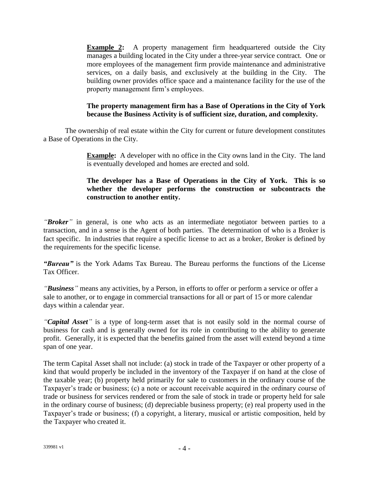**Example 2:** A property management firm headquartered outside the City manages a building located in the City under a three-year service contract*.* One or more employees of the management firm provide maintenance and administrative services, on a daily basis, and exclusively at the building in the City. The building owner provides office space and a maintenance facility for the use of the property management firm's employees.

#### **The property management firm has a Base of Operations in the City of York because the Business Activity is of sufficient size, duration, and complexity.**

The ownership of real estate within the City for current or future development constitutes a Base of Operations in the City.

> **Example:** A developer with no office in the City owns land in the City. The land is eventually developed and homes are erected and sold.

#### **The developer has a Base of Operations in the City of York. This is so whether the developer performs the construction or subcontracts the construction to another entity.**

*"Broker"* in general, is one who acts as an intermediate negotiator between parties to a transaction, and in a sense is the Agent of both parties. The determination of who is a Broker is fact specific. In industries that require a specific license to act as a broker, Broker is defined by the requirements for the specific license.

*"Bureau"* is the York Adams Tax Bureau. The Bureau performs the functions of the License Tax Officer.

*"Business"* means any activities, by a Person*,* in efforts to offer or perform a service or offer a sale to another, or to engage in commercial transactions for all or part of 15 or more calendar days within a calendar year.

*"Capital Asset"* is a type of long-term asset that is not easily sold in the normal course of business for cash and is generally owned for its role in contributing to the ability to generate profit. Generally, it is expected that the benefits gained from the asset will extend beyond a time span of one year.

The term Capital Asset shall not include: (a) stock in trade of the Taxpayer or other property of a kind that would properly be included in the inventory of the Taxpayer if on hand at the close of the taxable year; (b) property held primarily for sale to customers in the ordinary course of the Taxpayer's trade or business; (c) a note or account receivable acquired in the ordinary course of trade or business for services rendered or from the sale of stock in trade or property held for sale in the ordinary course of business; (d) depreciable business property; (e) real property used in the Taxpayer's trade or business; (f) a copyright, a literary, musical or artistic composition, held by the Taxpayer who created it.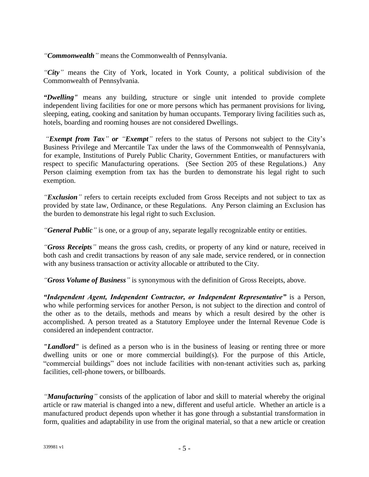*"Commonwealth"* means the Commonwealth of Pennsylvania.

*"City"* means the City of York, located in York County, a political subdivision of the Commonwealth of Pennsylvania.

*"Dwelling"* means any building, structure or single unit intended to provide complete independent living facilities for one or more persons which has permanent provisions for living, sleeping, eating, cooking and sanitation by human occupants. Temporary living facilities such as, hotels, boarding and rooming houses are not considered Dwellings.

*"Exempt from Tax" or "Exempt"* refers to the status of Persons not subject to the City's Business Privilege and Mercantile Tax under the laws of the Commonwealth of Pennsylvania, for example, Institutions of Purely Public Charity, Government Entities, or manufacturers with respect to specific Manufacturing operations. (See Section 205 of these Regulations.) Any Person claiming exemption from tax has the burden to demonstrate his legal right to such exemption.

*"Exclusion"* refers to certain receipts excluded from Gross Receipts and not subject to tax as provided by state law, Ordinance, or these Regulations. Any Person claiming an Exclusion has the burden to demonstrate his legal right to such Exclusion.

*"General Public*<sup>"</sup> is one, or a group of any, separate legally recognizable entity or entities.

*"Gross Receipts"* means the gross cash, credits, or property of any kind or nature, received in both cash and credit transactions by reason of any sale made, service rendered, or in connection with any business transaction or activity allocable or attributed to the City.

*"Gross Volume of Business"* is synonymous with the definition of Gross Receipts, above.

*"Independent Agent, Independent Contractor, or Independent Representative"* is a Person, who while performing services for another Person, is not subject to the direction and control of the other as to the details, methods and means by which a result desired by the other is accomplished. A person treated as a Statutory Employee under the Internal Revenue Code is considered an independent contractor.

*"Landlord"* is defined as a person who is in the business of leasing or renting three or more dwelling units or one or more commercial building(s). For the purpose of this Article, "commercial buildings" does not include facilities with non-tenant activities such as, parking facilities, cell-phone towers, or billboards.

*"Manufacturing"* consists of the application of labor and skill to material whereby the original article or raw material is changed into a new, different and useful article. Whether an article is a manufactured product depends upon whether it has gone through a substantial transformation in form, qualities and adaptability in use from the original material, so that a new article or creation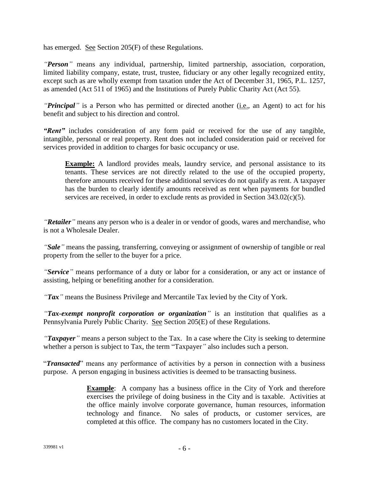has emerged. See Section 205(F) of these Regulations.

*"Person"* means any individual, partnership, limited partnership, association, corporation, limited liability company, estate, trust, trustee, fiduciary or any other legally recognized entity, except such as are wholly exempt from taxation under the Act of December 31, 1965, P.L. 1257, as amended (Act 511 of 1965) and the Institutions of Purely Public Charity Act (Act 55).

*"Principal"* is a Person who has permitted or directed another (i.e., an Agent) to act for his benefit and subject to his direction and control.

*"Rent"* includes consideration of any form paid or received for the use of any tangible, intangible, personal or real property. Rent does not included consideration paid or received for services provided in addition to charges for basic occupancy or use.

**Example:** A landlord provides meals, laundry service, and personal assistance to its tenants. These services are not directly related to the use of the occupied property, therefore amounts received for these additional services do not qualify as rent. A taxpayer has the burden to clearly identify amounts received as rent when payments for bundled services are received, in order to exclude rents as provided in Section 343.02(c)(5).

*"Retailer"* means any person who is a dealer in or vendor of goods, wares and merchandise, who is not a Wholesale Dealer.

*"Sale"* means the passing, transferring, conveying or assignment of ownership of tangible or real property from the seller to the buyer for a price.

*"Service"* means performance of a duty or labor for a consideration, or any act or instance of assisting, helping or benefiting another for a consideration.

*"Tax"* means the Business Privilege and Mercantile Tax levied by the City of York.

*"Tax-exempt nonprofit corporation or organization"* is an institution that qualifies as a Pennsylvania Purely Public Charity. See Section 205(E) of these Regulations.

*"Taxpayer"* means a person subject to the Tax. In a case where the City is seeking to determine whether a person is subject to Tax, the term "Taxpayer*"* also includes such a person.

"*Transacted*" means any performance of activities by a person in connection with a business purpose. A person engaging in business activities is deemed to be transacting business.

> **Example**: A company has a business office in the City of York and therefore exercises the privilege of doing business in the City and is taxable. Activities at the office mainly involve corporate governance, human resources, information technology and finance. No sales of products, or customer services, are completed at this office. The company has no customers located in the City.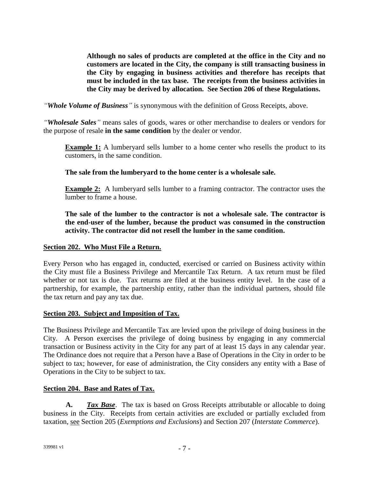**Although no sales of products are completed at the office in the City and no customers are located in the City, the company is still transacting business in the City by engaging in business activities and therefore has receipts that must be included in the tax base. The receipts from the business activities in the City may be derived by allocation. See Section 206 of these Regulations.**

*"Whole Volume of Business"* is synonymous with the definition of Gross Receipts, above.

*"Wholesale Sales"* means sales of goods, wares or other merchandise to dealers or vendors for the purpose of resale **in the same condition** by the dealer or vendor.

**Example 1:** A lumberyard sells lumber to a home center who resells the product to its customers, in the same condition.

**The sale from the lumberyard to the home center is a wholesale sale.**

**Example 2:** A lumberyard sells lumber to a framing contractor. The contractor uses the lumber to frame a house.

**The sale of the lumber to the contractor is not a wholesale sale. The contractor is the end-user of the lumber, because the product was consumed in the construction activity. The contractor did not resell the lumber in the same condition.**

#### **Section 202. Who Must File a Return.**

Every Person who has engaged in, conducted, exercised or carried on Business activity within the City must file a Business Privilege and Mercantile Tax Return. A tax return must be filed whether or not tax is due. Tax returns are filed at the business entity level. In the case of a partnership, for example, the partnership entity, rather than the individual partners, should file the tax return and pay any tax due.

#### **Section 203. Subject and Imposition of Tax.**

The Business Privilege and Mercantile Tax are levied upon the privilege of doing business in the City. A Person exercises the privilege of doing business by engaging in any commercial transaction or Business activity in the City for any part of at least 15 days in any calendar year. The Ordinance does not require that a Person have a Base of Operations in the City in order to be subject to tax; however, for ease of administration, the City considers any entity with a Base of Operations in the City to be subject to tax.

#### **Section 204. Base and Rates of Tax.**

**A.** *Tax Base*. The tax is based on Gross Receipts attributable or allocable to doing business in the City. Receipts from certain activities are excluded or partially excluded from taxation, see Section 205 (*Exemptions and Exclusions*) and Section 207 (*Interstate Commerce*).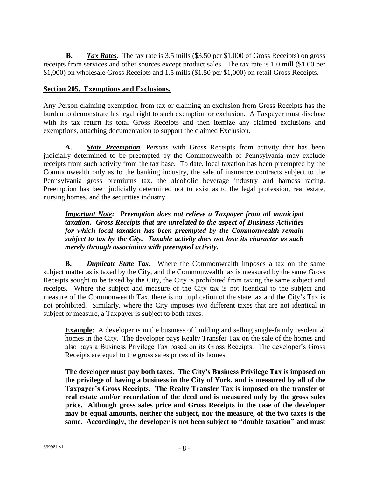**B.** *Tax Rates*. The tax rate is 3.5 mills (\$3.50 per \$1,000 of Gross Receipts) on gross receipts from services and other sources except product sales. The tax rate is 1.0 mill (\$1.00 per \$1,000) on wholesale Gross Receipts and 1.5 mills (\$1.50 per \$1,000) on retail Gross Receipts.

# **Section 205. Exemptions and Exclusions.**

Any Person claiming exemption from tax or claiming an exclusion from Gross Receipts has the burden to demonstrate his legal right to such exemption or exclusion. A Taxpayer must disclose with its tax return its total Gross Receipts and then itemize any claimed exclusions and exemptions, attaching documentation to support the claimed Exclusion.

**A.** *State Preemption.* Persons with Gross Receipts from activity that has been judicially determined to be preempted by the Commonwealth of Pennsylvania may exclude receipts from such activity from the tax base. To date, local taxation has been preempted by the Commonwealth only as to the banking industry, the sale of insurance contracts subject to the Pennsylvania gross premiums tax, the alcoholic beverage industry and harness racing. Preemption has been judicially determined not to exist as to the legal profession, real estate, nursing homes, and the securities industry.

*Important Note: Preemption does not relieve a Taxpayer from all municipal taxation. Gross Receipts that are unrelated to the aspect of Business Activities for which local taxation has been preempted by the Commonwealth remain subject to tax by the City. Taxable activity does not lose its character as such merely through association with preempted activity.*

**B.** *Duplicate State Tax.* Where the Commonwealth imposes a tax on the same subject matter as is taxed by the City, and the Commonwealth tax is measured by the same Gross Receipts sought to be taxed by the City, the City is prohibited from taxing the same subject and receipts. Where the subject and measure of the City tax is not identical to the subject and measure of the Commonwealth Tax, there is no duplication of the state tax and the City's Tax is not prohibited. Similarly, where the City imposes two different taxes that are not identical in subject or measure, a Taxpayer is subject to both taxes.

**Example**: A developer is in the business of building and selling single-family residential homes in the City. The developer pays Realty Transfer Tax on the sale of the homes and also pays a Business Privilege Tax based on its Gross Receipts. The developer's Gross Receipts are equal to the gross sales prices of its homes.

**The developer must pay both taxes. The City's Business Privilege Tax is imposed on the privilege of having a business in the City of York, and is measured by all of the Taxpayer's Gross Receipts. The Realty Transfer Tax is imposed on the transfer of real estate and/or recordation of the deed and is measured only by the gross sales price. Although gross sales price and Gross Receipts in the case of the developer may be equal amounts, neither the subject, nor the measure, of the two taxes is the same. Accordingly, the developer is not been subject to "double taxation" and must**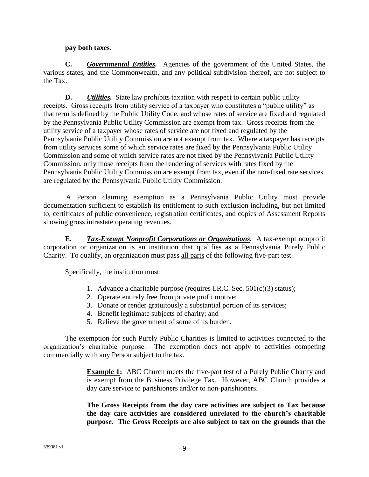#### **pay both taxes.**

**C.** *Governmental Entities.* Agencies of the government of the United States, the various states, and the Commonwealth, and any political subdivision thereof, are not subject to the Tax.

**D.** *Utilities.* State law prohibits taxation with respect to certain public utility receipts. Gross receipts from utility service of a taxpayer who constitutes a "public utility" as that term is defined by the Public Utility Code, and whose rates of service are fixed and regulated by the Pennsylvania Public Utility Commission are exempt from tax. Gross receipts from the utility service of a taxpayer whose rates of service are not fixed and regulated by the Pennsylvania Public Utility Commission are not exempt from tax. Where a taxpayer has receipts from utility services some of which service rates are fixed by the Pennsylvania Public Utility Commission and some of which service rates are not fixed by the Pennsylvania Public Utility Commission, only those receipts from the rendering of services with rates fixed by the Pennsylvania Public Utility Commission are exempt from tax, even if the non-fixed rate services are regulated by the Pennsylvania Public Utility Commission.

A Person claiming exemption as a Pennsylvania Public Utility must provide documentation sufficient to establish its entitlement to such exclusion including, but not limited to, certificates of public convenience, registration certificates, and copies of Assessment Reports showing gross intrastate operating revenues.

**E***. Tax-Exempt Nonprofit Corporations or Organizations.* A tax-exempt nonprofit corporation or organization is an institution that qualifies as a Pennsylvania Purely Public Charity. To qualify, an organization must pass all parts of the following five-part test.

Specifically, the institution must:

- 1. Advance a charitable purpose (requires I.R.C. Sec. 501(c)(3) status);
- 2. Operate entirely free from private profit motive;
- 3. Donate or render gratuitously a substantial portion of its services;
- 4. Benefit legitimate subjects of charity; and
- 5. Relieve the government of some of its burden.

The exemption for such Purely Public Charities is limited to activities connected to the organization's charitable purpose. The exemption does not apply to activities competing commercially with any Person subject to the tax.

> **Example 1:** ABC Church meets the five-part test of a Purely Public Charity and is exempt from the Business Privilege Tax. However, ABC Church provides a day care service to parishioners and/or to non-parishioners.

> **The Gross Receipts from the day care activities are subject to Tax because the day care activities are considered unrelated to the church's charitable purpose. The Gross Receipts are also subject to tax on the grounds that the**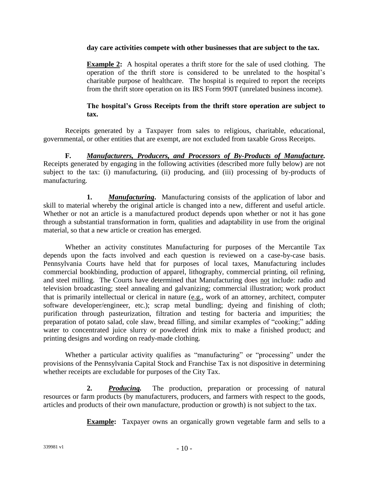#### **day care activities compete with other businesses that are subject to the tax.**

**Example 2:** A hospital operates a thrift store for the sale of used clothing. The operation of the thrift store is considered to be unrelated to the hospital's charitable purpose of healthcare. The hospital is required to report the receipts from the thrift store operation on its IRS Form 990T (unrelated business income).

#### **The hospital's Gross Receipts from the thrift store operation are subject to tax.**

Receipts generated by a Taxpayer from sales to religious, charitable, educational, governmental, or other entities that are exempt, are not excluded from taxable Gross Receipts.

**F.** *Manufacturers, Producers, and Processors of By-Products of Manufacture.* Receipts generated by engaging in the following activities (described more fully below) are not subject to the tax: (i) manufacturing, (ii) producing, and (iii) processing of by-products of manufacturing.

**1.** *Manufacturing***.** Manufacturing consists of the application of labor and skill to material whereby the original article is changed into a new, different and useful article. Whether or not an article is a manufactured product depends upon whether or not it has gone through a substantial transformation in form, qualities and adaptability in use from the original material, so that a new article or creation has emerged.

Whether an activity constitutes Manufacturing for purposes of the Mercantile Tax depends upon the facts involved and each question is reviewed on a case-by-case basis. Pennsylvania Courts have held that for purposes of local taxes, Manufacturing includes commercial bookbinding, production of apparel, lithography, commercial printing, oil refining, and steel milling. The Courts have determined that Manufacturing does not include: radio and television broadcasting; steel annealing and galvanizing; commercial illustration; work product that is primarily intellectual or clerical in nature (e.g., work of an attorney, architect, computer software developer/engineer, etc.); scrap metal bundling; dyeing and finishing of cloth; purification through pasteurization, filtration and testing for bacteria and impurities; the preparation of potato salad, cole slaw, bread filling, and similar examples of "cooking;" adding water to concentrated juice slurry or powdered drink mix to make a finished product; and printing designs and wording on ready-made clothing.

Whether a particular activity qualifies as "manufacturing" or "processing" under the provisions of the Pennsylvania Capital Stock and Franchise Tax is not dispositive in determining whether receipts are excludable for purposes of the City Tax.

**2.** *Producing.* The production, preparation or processing of natural resources or farm products (by manufacturers, producers, and farmers with respect to the goods, articles and products of their own manufacture, production or growth) is not subject to the tax.

**Example:** Taxpayer owns an organically grown vegetable farm and sells to a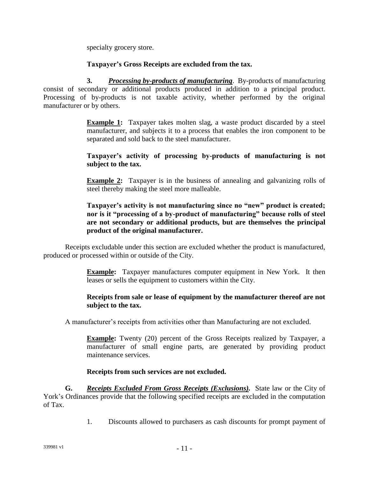specialty grocery store.

#### **Taxpayer's Gross Receipts are excluded from the tax.**

**3.** *Processing by-products of manufacturing*. By-products of manufacturing consist of secondary or additional products produced in addition to a principal product. Processing of by-products is not taxable activity, whether performed by the original manufacturer or by others.

> **Example 1:** Taxpayer takes molten slag, a waste product discarded by a steel manufacturer, and subjects it to a process that enables the iron component to be separated and sold back to the steel manufacturer.

#### **Taxpayer's activity of processing by-products of manufacturing is not subject to the tax.**

**Example 2:** Taxpayer is in the business of annealing and galvanizing rolls of steel thereby making the steel more malleable.

#### **Taxpayer's activity is not manufacturing since no "new" product is created; nor is it "processing of a by-product of manufacturing" because rolls of steel are not secondary or additional products, but are themselves the principal product of the original manufacturer.**

Receipts excludable under this section are excluded whether the product is manufactured, produced or processed within or outside of the City.

> **Example:** Taxpayer manufactures computer equipment in New York. It then leases or sells the equipment to customers within the City.

#### **Receipts from sale or lease of equipment by the manufacturer thereof are not subject to the tax.**

A manufacturer's receipts from activities other than Manufacturing are not excluded.

**Example:** Twenty (20) percent of the Gross Receipts realized by Taxpayer, a manufacturer of small engine parts, are generated by providing product maintenance services.

#### **Receipts from such services are not excluded.**

**G.** *Receipts Excluded From Gross Receipts (Exclusions).* State law or the City of York's Ordinances provide that the following specified receipts are excluded in the computation of Tax.

1. Discounts allowed to purchasers as cash discounts for prompt payment of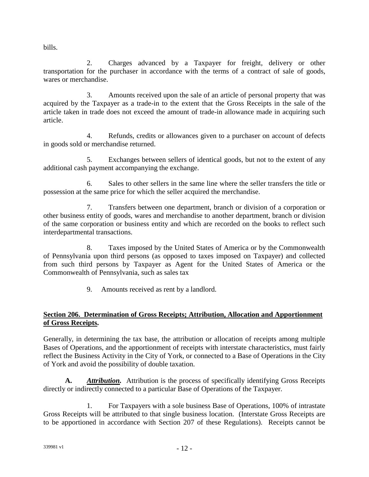bills.

2. Charges advanced by a Taxpayer for freight, delivery or other transportation for the purchaser in accordance with the terms of a contract of sale of goods, wares or merchandise.

3. Amounts received upon the sale of an article of personal property that was acquired by the Taxpayer as a trade-in to the extent that the Gross Receipts in the sale of the article taken in trade does not exceed the amount of trade-in allowance made in acquiring such article.

4. Refunds, credits or allowances given to a purchaser on account of defects in goods sold or merchandise returned.

5. Exchanges between sellers of identical goods, but not to the extent of any additional cash payment accompanying the exchange.

6. Sales to other sellers in the same line where the seller transfers the title or possession at the same price for which the seller acquired the merchandise.

7. Transfers between one department, branch or division of a corporation or other business entity of goods, wares and merchandise to another department, branch or division of the same corporation or business entity and which are recorded on the books to reflect such interdepartmental transactions.

8. Taxes imposed by the United States of America or by the Commonwealth of Pennsylvania upon third persons (as opposed to taxes imposed on Taxpayer) and collected from such third persons by Taxpayer as Agent for the United States of America or the Commonwealth of Pennsylvania, such as sales tax

9. Amounts received as rent by a landlord.

# **Section 206. Determination of Gross Receipts; Attribution, Allocation and Apportionment of Gross Receipts.**

Generally, in determining the tax base, the attribution or allocation of receipts among multiple Bases of Operations, and the apportionment of receipts with interstate characteristics, must fairly reflect the Business Activity in the City of York, or connected to a Base of Operations in the City of York and avoid the possibility of double taxation.

**A.** *Attribution.* Attribution is the process of specifically identifying Gross Receipts directly or indirectly connected to a particular Base of Operations of the Taxpayer.

1. For Taxpayers with a sole business Base of Operations, 100% of intrastate Gross Receipts will be attributed to that single business location. (Interstate Gross Receipts are to be apportioned in accordance with Section 207 of these Regulations). Receipts cannot be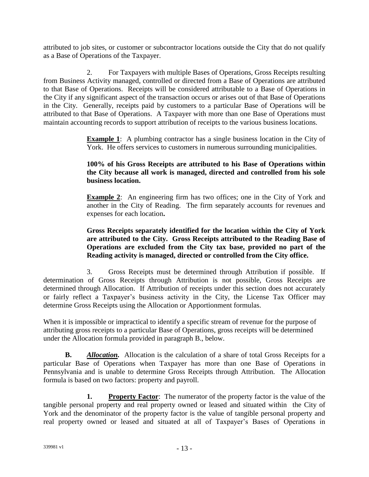attributed to job sites, or customer or subcontractor locations outside the City that do not qualify as a Base of Operations of the Taxpayer.

2. For Taxpayers with multiple Bases of Operations, Gross Receipts resulting from Business Activity managed, controlled or directed from a Base of Operations are attributed to that Base of Operations. Receipts will be considered attributable to a Base of Operations in the City if any significant aspect of the transaction occurs or arises out of that Base of Operations in the City. Generally, receipts paid by customers to a particular Base of Operations will be attributed to that Base of Operations. A Taxpayer with more than one Base of Operations must maintain accounting records to support attribution of receipts to the various business locations.

> **Example 1**: A plumbing contractor has a single business location in the City of York. He offers services to customers in numerous surrounding municipalities.

### **100% of his Gross Receipts are attributed to his Base of Operations within the City because all work is managed, directed and controlled from his sole business location.**

**Example 2**: An engineering firm has two offices; one in the City of York and another in the City of Reading. The firm separately accounts for revenues and expenses for each location**.**

#### **Gross Receipts separately identified for the location within the City of York are attributed to the City. Gross Receipts attributed to the Reading Base of Operations are excluded from the City tax base, provided no part of the Reading activity is managed, directed or controlled from the City office.**

3. Gross Receipts must be determined through Attribution if possible. If determination of Gross Receipts through Attribution is not possible, Gross Receipts are determined through Allocation. If Attribution of receipts under this section does not accurately or fairly reflect a Taxpayer's business activity in the City, the License Tax Officer may determine Gross Receipts using the Allocation or Apportionment formulas.

When it is impossible or impractical to identify a specific stream of revenue for the purpose of attributing gross receipts to a particular Base of Operations, gross receipts will be determined under the Allocation formula provided in paragraph B., below.

**B.** *Allocation.* Allocation is the calculation of a share of total Gross Receipts for a particular Base of Operations when Taxpayer has more than one Base of Operations in Pennsylvania and is unable to determine Gross Receipts through Attribution. The Allocation formula is based on two factors: property and payroll.

**1. Property Factor**: The numerator of the property factor is the value of the tangible personal property and real property owned or leased and situated within the City of York and the denominator of the property factor is the value of tangible personal property and real property owned or leased and situated at all of Taxpayer's Bases of Operations in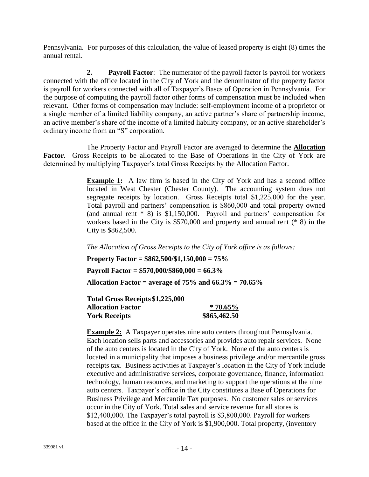Pennsylvania. For purposes of this calculation, the value of leased property is eight (8) times the annual rental.

**2. Payroll Factor**: The numerator of the payroll factor is payroll for workers connected with the office located in the City of York and the denominator of the property factor is payroll for workers connected with all of Taxpayer's Bases of Operation in Pennsylvania. For the purpose of computing the payroll factor other forms of compensation must be included when relevant. Other forms of compensation may include: self-employment income of a proprietor or a single member of a limited liability company, an active partner's share of partnership income, an active member's share of the income of a limited liability company, or an active shareholder's ordinary income from an "S" corporation.

The Property Factor and Payroll Factor are averaged to determine the **Allocation Factor**. Gross Receipts to be allocated to the Base of Operations in the City of York are determined by multiplying Taxpayer's total Gross Receipts by the Allocation Factor.

> **Example 1:** A law firm is based in the City of York and has a second office located in West Chester (Chester County). The accounting system does not segregate receipts by location. Gross Receipts total \$1,225,000 for the year. Total payroll and partners' compensation is \$860,000 and total property owned (and annual rent \* 8) is \$1,150,000. Payroll and partners' compensation for workers based in the City is \$570,000 and property and annual rent (\* 8) in the City is \$862,500.

*The Allocation of Gross Receipts to the City of York office is as follows:*

**Property Factor = \$862,500/\$1,150,000 = 75%**

**Payroll Factor = \$570,000/\$860,000 = 66.3%**

**Allocation Factor = average of 75% and 66.3% = 70.65%**

| Total Gross Receipts \$1,225,000 |              |
|----------------------------------|--------------|
| <b>Allocation Factor</b>         | $*70.65\%$   |
| <b>York Receipts</b>             | \$865,462.50 |

**Example 2:** A Taxpayer operates nine auto centers throughout Pennsylvania. Each location sells parts and accessories and provides auto repair services. None of the auto centers is located in the City of York. None of the auto centers is located in a municipality that imposes a business privilege and/or mercantile gross receipts tax. Business activities at Taxpayer's location in the City of York include executive and administrative services, corporate governance, finance, information technology, human resources, and marketing to support the operations at the nine auto centers. Taxpayer's office in the City constitutes a Base of Operations for Business Privilege and Mercantile Tax purposes. No customer sales or services occur in the City of York. Total sales and service revenue for all stores is \$12,400,000. The Taxpayer's total payroll is \$3,800,000. Payroll for workers based at the office in the City of York is \$1,900,000. Total property, (inventory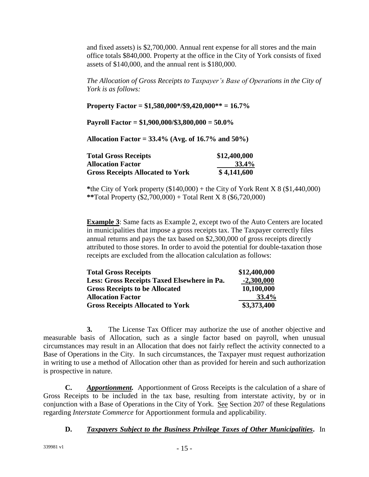and fixed assets) is \$2,700,000. Annual rent expense for all stores and the main office totals \$840,000. Property at the office in the City of York consists of fixed assets of \$140,000, and the annual rent is \$180,000.

*The Allocation of Gross Receipts to Taxpayer's Base of Operations in the City of York is as follows:*

**Property Factor = \$1,580,000\*/\$9,420,000\*\* = 16.7%**

**Payroll Factor = \$1,900,000/\$3,800,000 = 50.0%**

**Allocation Factor = 33.4% (Avg. of 16.7% and 50%)**

| <b>Total Gross Receipts</b>             | \$12,400,000 |
|-----------------------------------------|--------------|
| <b>Allocation Factor</b>                | $33.4\%$     |
| <b>Gross Receipts Allocated to York</b> | \$4,141,600  |

**\***the City of York property (\$140,000) + the City of York Rent X 8 (\$1,440,000) **\*\***Total Property (\$2,700,000) + Total Rent X 8 (\$6,720,000)

**Example 3**: Same facts as Example 2, except two of the Auto Centers are located in municipalities that impose a gross receipts tax. The Taxpayer correctly files annual returns and pays the tax based on \$2,300,000 of gross receipts directly attributed to those stores. In order to avoid the potential for double-taxation those receipts are excluded from the allocation calculation as follows:

| \$12,400,000 |
|--------------|
| $-2,300,000$ |
| 10,100,000   |
| 33.4%        |
| \$3,373,400  |
|              |

**3.** The License Tax Officer may authorize the use of another objective and measurable basis of Allocation, such as a single factor based on payroll, when unusual circumstances may result in an Allocation that does not fairly reflect the activity connected to a Base of Operations in the City. In such circumstances, the Taxpayer must request authorization in writing to use a method of Allocation other than as provided for herein and such authorization is prospective in nature.

**C.** *Apportionment.* Apportionment of Gross Receipts is the calculation of a share of Gross Receipts to be included in the tax base, resulting from interstate activity, by or in conjunction with a Base of Operations in the City of York. See Section 207 of these Regulations regarding *Interstate Commerce* for Apportionment formula and applicability.

#### **D.** *Taxpayers Subject to the Business Privilege Taxes of Other Municipalities***.** In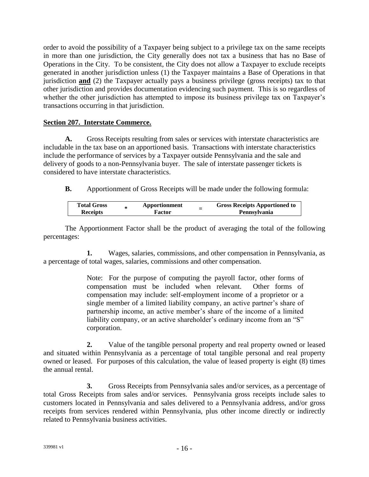order to avoid the possibility of a Taxpayer being subject to a privilege tax on the same receipts in more than one jurisdiction, the City generally does not tax a business that has no Base of Operations in the City. To be consistent, the City does not allow a Taxpayer to exclude receipts generated in another jurisdiction unless (1) the Taxpayer maintains a Base of Operations in that jurisdiction **and** (2) the Taxpayer actually pays a business privilege (gross receipts) tax to that other jurisdiction and provides documentation evidencing such payment. This is so regardless of whether the other jurisdiction has attempted to impose its business privilege tax on Taxpayer's transactions occurring in that jurisdiction.

#### **Section 207. Interstate Commerce.**

**A.** Gross Receipts resulting from sales or services with interstate characteristics are includable in the tax base on an apportioned basis. Transactions with interstate characteristics include the performance of services by a Taxpayer outside Pennsylvania and the sale and delivery of goods to a non-Pennsylvania buyer. The sale of interstate passenger tickets is considered to have interstate characteristics.

**B.** Apportionment of Gross Receipts will be made under the following formula:

| <b>Total Gross</b> | Apportionment | - | <b>Gross Receipts Apportioned to</b> |
|--------------------|---------------|---|--------------------------------------|
| <b>Receipts</b>    | Factor        | - | <b>Pennsylvania</b>                  |

The Apportionment Factor shall be the product of averaging the total of the following percentages:

**1.** Wages, salaries, commissions, and other compensation in Pennsylvania, as a percentage of total wages, salaries, commissions and other compensation.

> Note: For the purpose of computing the payroll factor, other forms of compensation must be included when relevant. Other forms of compensation may include: self-employment income of a proprietor or a single member of a limited liability company, an active partner's share of partnership income, an active member's share of the income of a limited liability company, or an active shareholder's ordinary income from an "S" corporation.

**2.** Value of the tangible personal property and real property owned or leased and situated within Pennsylvania as a percentage of total tangible personal and real property owned or leased. For purposes of this calculation, the value of leased property is eight (8) times the annual rental.

**3.** Gross Receipts from Pennsylvania sales and/or services, as a percentage of total Gross Receipts from sales and/or services. Pennsylvania gross receipts include sales to customers located in Pennsylvania and sales delivered to a Pennsylvania address, and/or gross receipts from services rendered within Pennsylvania, plus other income directly or indirectly related to Pennsylvania business activities.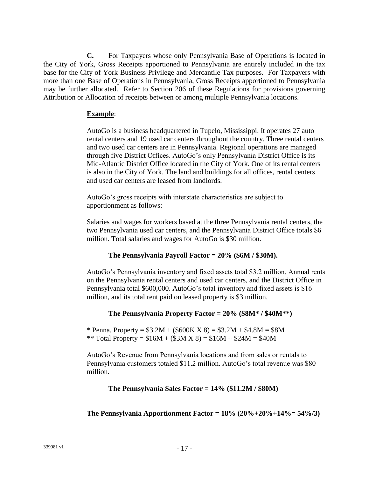**C.** For Taxpayers whose only Pennsylvania Base of Operations is located in the City of York, Gross Receipts apportioned to Pennsylvania are entirely included in the tax base for the City of York Business Privilege and Mercantile Tax purposes. For Taxpayers with more than one Base of Operations in Pennsylvania, Gross Receipts apportioned to Pennsylvania may be further allocated. Refer to Section 206 of these Regulations for provisions governing Attribution or Allocation of receipts between or among multiple Pennsylvania locations.

#### **Example**:

AutoGo is a business headquartered in Tupelo, Mississippi. It operates 27 auto rental centers and 19 used car centers throughout the country. Three rental centers and two used car centers are in Pennsylvania. Regional operations are managed through five District Offices. AutoGo's only Pennsylvania District Office is its Mid-Atlantic District Office located in the City of York. One of its rental centers is also in the City of York. The land and buildings for all offices, rental centers and used car centers are leased from landlords.

AutoGo's gross receipts with interstate characteristics are subject to apportionment as follows:

Salaries and wages for workers based at the three Pennsylvania rental centers, the two Pennsylvania used car centers, and the Pennsylvania District Office totals \$6 million. Total salaries and wages for AutoGo is \$30 million.

# **The Pennsylvania Payroll Factor = 20% (\$6M / \$30M).**

AutoGo's Pennsylvania inventory and fixed assets total \$3.2 million. Annual rents on the Pennsylvania rental centers and used car centers, and the District Office in Pennsylvania total \$600,000. AutoGo's total inventory and fixed assets is \$16 million, and its total rent paid on leased property is \$3 million.

# **The Pennsylvania Property Factor = 20% (\$8M\* / \$40M\*\*)**

\* Penna. Property =  $$3.2M + ($600K X 8) = $3.2M + $4.8M = $8M$ \*\* Total Property =  $$16M + (33M X 8) = $16M + $24M = $40M$ 

AutoGo's Revenue from Pennsylvania locations and from sales or rentals to Pennsylvania customers totaled \$11.2 million. AutoGo's total revenue was \$80 million.

#### **The Pennsylvania Sales Factor = 14% (\$11.2M / \$80M)**

**The Pennsylvania Apportionment Factor = 18% (20%+20%+14%= 54%/3)**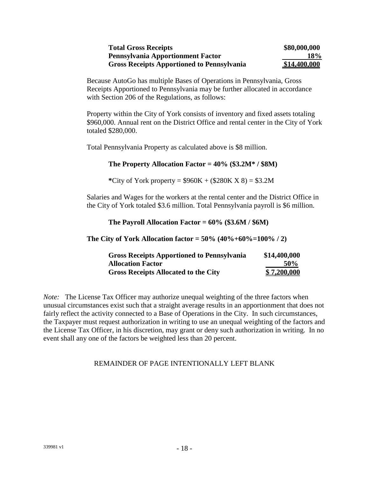| <b>Total Gross Receipts</b>                       | \$80,000,000 |
|---------------------------------------------------|--------------|
| <b>Pennsylvania Apportionment Factor</b>          | <b>18%</b>   |
| <b>Gross Receipts Apportioned to Pennsylvania</b> | \$14,400,000 |

Because AutoGo has multiple Bases of Operations in Pennsylvania, Gross Receipts Apportioned to Pennsylvania may be further allocated in accordance with Section 206 of the Regulations, as follows:

Property within the City of York consists of inventory and fixed assets totaling \$960,000. Annual rent on the District Office and rental center in the City of York totaled \$280,000.

Total Pennsylvania Property as calculated above is \$8 million.

#### **The Property Allocation Factor = 40% (\$3.2M\* / \$8M)**

**\***City of York property = \$960K + (\$280K X 8) = \$3.2M

Salaries and Wages for the workers at the rental center and the District Office in the City of York totaled \$3.6 million. Total Pennsylvania payroll is \$6 million.

**The Payroll Allocation Factor = 60% (\$3.6M / \$6M)**

**The City of York Allocation factor = 50% (40%+60%=100% / 2)**

| <b>Gross Receipts Apportioned to Pennsylvania</b> | \$14,400,000       |
|---------------------------------------------------|--------------------|
| <b>Allocation Factor</b>                          | 50%                |
| <b>Gross Receipts Allocated to the City</b>       | <u>\$7,200,000</u> |

*Note:* The License Tax Officer may authorize unequal weighting of the three factors when unusual circumstances exist such that a straight average results in an apportionment that does not fairly reflect the activity connected to a Base of Operations in the City. In such circumstances, the Taxpayer must request authorization in writing to use an unequal weighting of the factors and the License Tax Officer, in his discretion, may grant or deny such authorization in writing. In no event shall any one of the factors be weighted less than 20 percent.

#### REMAINDER OF PAGE INTENTIONALLY LEFT BLANK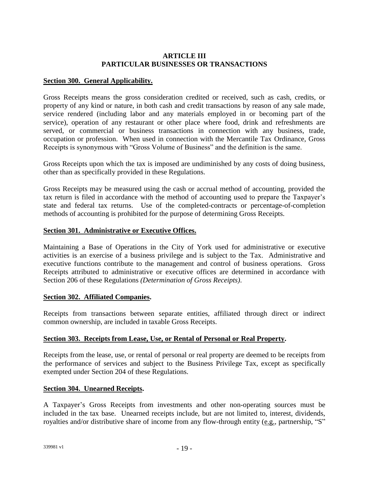#### **ARTICLE III PARTICULAR BUSINESSES OR TRANSACTIONS**

#### **Section 300. General Applicability.**

Gross Receipts means the gross consideration credited or received, such as cash, credits, or property of any kind or nature, in both cash and credit transactions by reason of any sale made, service rendered (including labor and any materials employed in or becoming part of the service), operation of any restaurant or other place where food, drink and refreshments are served, or commercial or business transactions in connection with any business, trade, occupation or profession. When used in connection with the Mercantile Tax Ordinance, Gross Receipts is synonymous with "Gross Volume of Business" and the definition is the same.

Gross Receipts upon which the tax is imposed are undiminished by any costs of doing business, other than as specifically provided in these Regulations.

Gross Receipts may be measured using the cash or accrual method of accounting, provided the tax return is filed in accordance with the method of accounting used to prepare the Taxpayer's state and federal tax returns. Use of the completed-contracts or percentage-of-completion methods of accounting is prohibited for the purpose of determining Gross Receipts.

#### **Section 301. Administrative or Executive Offices.**

Maintaining a Base of Operations in the City of York used for administrative or executive activities is an exercise of a business privilege and is subject to the Tax. Administrative and executive functions contribute to the management and control of business operations. Gross Receipts attributed to administrative or executive offices are determined in accordance with Section 206 of these Regulations *(Determination of Gross Receipts)*.

#### **Section 302. Affiliated Companies.**

Receipts from transactions between separate entities, affiliated through direct or indirect common ownership, are included in taxable Gross Receipts.

#### **Section 303. Receipts from Lease, Use, or Rental of Personal or Real Property.**

Receipts from the lease, use, or rental of personal or real property are deemed to be receipts from the performance of services and subject to the Business Privilege Tax, except as specifically exempted under Section 204 of these Regulations.

#### **Section 304. Unearned Receipts.**

A Taxpayer's Gross Receipts from investments and other non-operating sources must be included in the tax base. Unearned receipts include, but are not limited to, interest, dividends, royalties and/or distributive share of income from any flow-through entity (e.g., partnership, "S"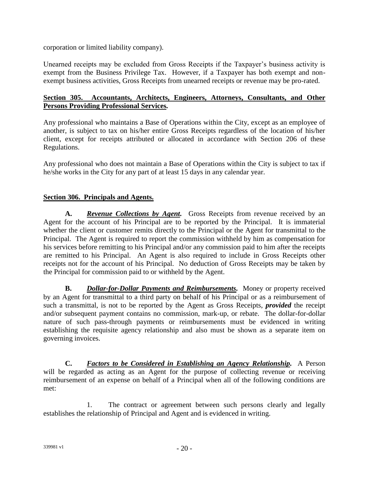corporation or limited liability company).

Unearned receipts may be excluded from Gross Receipts if the Taxpayer's business activity is exempt from the Business Privilege Tax. However, if a Taxpayer has both exempt and nonexempt business activities, Gross Receipts from unearned receipts or revenue may be pro-rated.

#### **Section 305. Accountants, Architects, Engineers, Attorneys, Consultants, and Other Persons Providing Professional Services***.*

Any professional who maintains a Base of Operations within the City, except as an employee of another, is subject to tax on his/her entire Gross Receipts regardless of the location of his/her client, except for receipts attributed or allocated in accordance with Section 206 of these Regulations.

Any professional who does not maintain a Base of Operations within the City is subject to tax if he/she works in the City for any part of at least 15 days in any calendar year.

#### **Section 306. Principals and Agents.**

**A.** *Revenue Collections by Agent.* Gross Receipts from revenue received by an Agent for the account of his Principal are to be reported by the Principal. It is immaterial whether the client or customer remits directly to the Principal or the Agent for transmittal to the Principal. The Agent is required to report the commission withheld by him as compensation for his services before remitting to his Principal and/or any commission paid to him after the receipts are remitted to his Principal. An Agent is also required to include in Gross Receipts other receipts not for the account of his Principal. No deduction of Gross Receipts may be taken by the Principal for commission paid to or withheld by the Agent.

**B.** *Dollar-for-Dollar Payments and Reimbursements.* Money or property received by an Agent for transmittal to a third party on behalf of his Principal or as a reimbursement of such a transmittal, is not to be reported by the Agent as Gross Receipts, *provided* the receipt and/or subsequent payment contains no commission, mark-up, or rebate. The dollar-for-dollar nature of such pass-through payments or reimbursements must be evidenced in writing establishing the requisite agency relationship and also must be shown as a separate item on governing invoices.

**C.** *Factors to be Considered in Establishing an Agency Relationship.* A Person will be regarded as acting as an Agent for the purpose of collecting revenue or receiving reimbursement of an expense on behalf of a Principal when all of the following conditions are met:

1. The contract or agreement between such persons clearly and legally establishes the relationship of Principal and Agent and is evidenced in writing.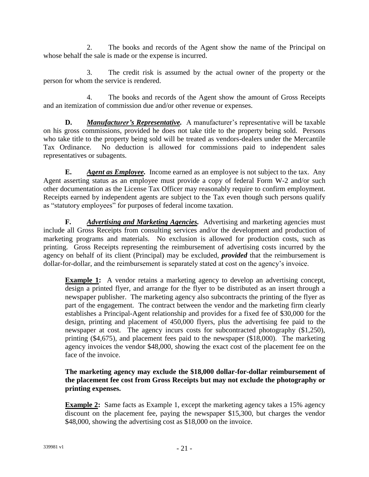2. The books and records of the Agent show the name of the Principal on whose behalf the sale is made or the expense is incurred.

3. The credit risk is assumed by the actual owner of the property or the person for whom the service is rendered.

4. The books and records of the Agent show the amount of Gross Receipts and an itemization of commission due and/or other revenue or expenses.

**D.** *Manufacturer's Representative.* A manufacturer's representative will be taxable on his gross commissions, provided he does not take title to the property being sold. Persons who take title to the property being sold will be treated as vendors-dealers under the Mercantile Tax Ordinance. No deduction is allowed for commissions paid to independent sales representatives or subagents.

**E.** *Agent as Employee.* Income earned as an employee is not subject to the tax. Any Agent asserting status as an employee must provide a copy of federal Form W-2 and/or such other documentation as the License Tax Officer may reasonably require to confirm employment. Receipts earned by independent agents are subject to the Tax even though such persons qualify as "statutory employees" for purposes of federal income taxation.

**F.** *Advertising and Marketing Agencies.* Advertising and marketing agencies must include all Gross Receipts from consulting services and/or the development and production of marketing programs and materials. No exclusion is allowed for production costs, such as printing. Gross Receipts representing the reimbursement of advertising costs incurred by the agency on behalf of its client (Principal) may be excluded, *provided* that the reimbursement is dollar-for-dollar, and the reimbursement is separately stated at cost on the agency's invoice.

**Example 1:** A vendor retains a marketing agency to develop an advertising concept, design a printed flyer, and arrange for the flyer to be distributed as an insert through a newspaper publisher. The marketing agency also subcontracts the printing of the flyer as part of the engagement. The contract between the vendor and the marketing firm clearly establishes a Principal-Agent relationship and provides for a fixed fee of \$30,000 for the design, printing and placement of 450,000 flyers, plus the advertising fee paid to the newspaper at cost. The agency incurs costs for subcontracted photography (\$1,250), printing (\$4,675), and placement fees paid to the newspaper (\$18,000). The marketing agency invoices the vendor \$48,000, showing the exact cost of the placement fee on the face of the invoice.

**The marketing agency may exclude the \$18,000 dollar-for-dollar reimbursement of the placement fee cost from Gross Receipts but may not exclude the photography or printing expenses.**

**Example 2:** Same facts as Example 1, except the marketing agency takes a 15% agency discount on the placement fee, paying the newspaper \$15,300, but charges the vendor \$48,000, showing the advertising cost as \$18,000 on the invoice.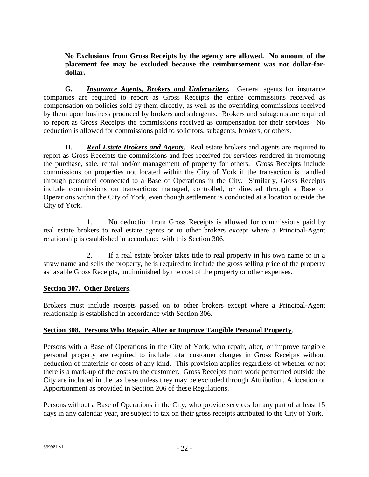**No Exclusions from Gross Receipts by the agency are allowed. No amount of the placement fee may be excluded because the reimbursement was not dollar-fordollar.**

**G.** *Insurance Agents, Brokers and Underwriters.* General agents for insurance companies are required to report as Gross Receipts the entire commissions received as compensation on policies sold by them directly, as well as the overriding commissions received by them upon business produced by brokers and subagents. Brokers and subagents are required to report as Gross Receipts the commissions received as compensation for their services. No deduction is allowed for commissions paid to solicitors, subagents, brokers, or others.

**H.** *Real Estate Brokers and Agents.* Real estate brokers and agents are required to report as Gross Receipts the commissions and fees received for services rendered in promoting the purchase, sale, rental and/or management of property for others. Gross Receipts include commissions on properties not located within the City of York if the transaction is handled through personnel connected to a Base of Operations in the City. Similarly, Gross Receipts include commissions on transactions managed, controlled, or directed through a Base of Operations within the City of York, even though settlement is conducted at a location outside the City of York.

1. No deduction from Gross Receipts is allowed for commissions paid by real estate brokers to real estate agents or to other brokers except where a Principal-Agent relationship is established in accordance with this Section 306.

2. If a real estate broker takes title to real property in his own name or in a straw name and sells the property, he is required to include the gross selling price of the property as taxable Gross Receipts, undiminished by the cost of the property or other expenses.

#### **Section 307. Other Brokers**.

Brokers must include receipts passed on to other brokers except where a Principal-Agent relationship is established in accordance with Section 306.

#### **Section 308. Persons Who Repair, Alter or Improve Tangible Personal Property**.

Persons with a Base of Operations in the City of York, who repair, alter, or improve tangible personal property are required to include total customer charges in Gross Receipts without deduction of materials or costs of any kind. This provision applies regardless of whether or not there is a mark-up of the costs to the customer. Gross Receipts from work performed outside the City are included in the tax base unless they may be excluded through Attribution, Allocation or Apportionment as provided in Section 206 of these Regulations.

Persons without a Base of Operations in the City, who provide services for any part of at least 15 days in any calendar year, are subject to tax on their gross receipts attributed to the City of York.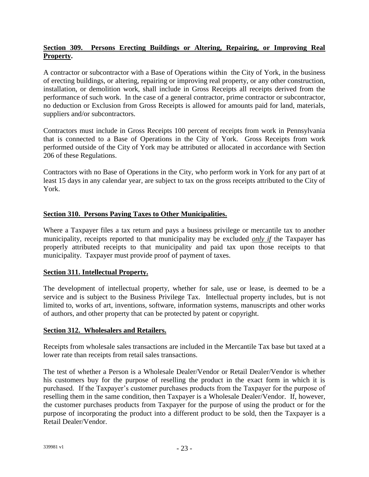#### **Section 309. Persons Erecting Buildings or Altering, Repairing, or Improving Real Property.**

A contractor or subcontractor with a Base of Operations within the City of York, in the business of erecting buildings, or altering, repairing or improving real property, or any other construction, installation, or demolition work, shall include in Gross Receipts all receipts derived from the performance of such work. In the case of a general contractor, prime contractor or subcontractor, no deduction or Exclusion from Gross Receipts is allowed for amounts paid for land, materials, suppliers and/or subcontractors.

Contractors must include in Gross Receipts 100 percent of receipts from work in Pennsylvania that is connected to a Base of Operations in the City of York. Gross Receipts from work performed outside of the City of York may be attributed or allocated in accordance with Section 206 of these Regulations.

Contractors with no Base of Operations in the City, who perform work in York for any part of at least 15 days in any calendar year, are subject to tax on the gross receipts attributed to the City of York.

#### **Section 310. Persons Paying Taxes to Other Municipalities.**

Where a Taxpayer files a tax return and pays a business privilege or mercantile tax to another municipality, receipts reported to that municipality may be excluded *only if* the Taxpayer has properly attributed receipts to that municipality and paid tax upon those receipts to that municipality. Taxpayer must provide proof of payment of taxes.

#### **Section 311. Intellectual Property.**

The development of intellectual property, whether for sale, use or lease, is deemed to be a service and is subject to the Business Privilege Tax. Intellectual property includes, but is not limited to, works of art, inventions, software, information systems, manuscripts and other works of authors, and other property that can be protected by patent or copyright.

#### **Section 312. Wholesalers and Retailers.**

Receipts from wholesale sales transactions are included in the Mercantile Tax base but taxed at a lower rate than receipts from retail sales transactions.

The test of whether a Person is a Wholesale Dealer/Vendor or Retail Dealer/Vendor is whether his customers buy for the purpose of reselling the product in the exact form in which it is purchased. If the Taxpayer's customer purchases products from the Taxpayer for the purpose of reselling them in the same condition, then Taxpayer is a Wholesale Dealer/Vendor. If, however, the customer purchases products from Taxpayer for the purpose of using the product or for the purpose of incorporating the product into a different product to be sold, then the Taxpayer is a Retail Dealer/Vendor.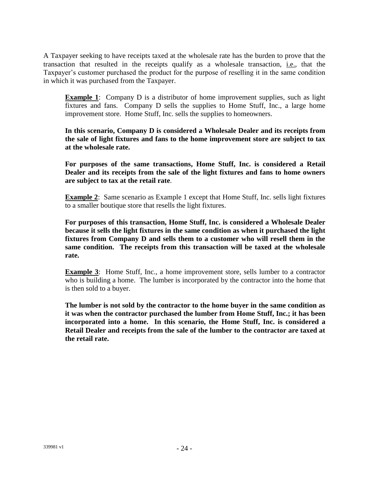A Taxpayer seeking to have receipts taxed at the wholesale rate has the burden to prove that the transaction that resulted in the receipts qualify as a wholesale transaction, i.e., that the Taxpayer's customer purchased the product for the purpose of reselling it in the same condition in which it was purchased from the Taxpayer.

**Example 1**: Company D is a distributor of home improvement supplies, such as light fixtures and fans. Company D sells the supplies to Home Stuff, Inc., a large home improvement store. Home Stuff, Inc. sells the supplies to homeowners.

**In this scenario, Company D is considered a Wholesale Dealer and its receipts from the sale of light fixtures and fans to the home improvement store are subject to tax at the wholesale rate.**

**For purposes of the same transactions, Home Stuff, Inc. is considered a Retail Dealer and its receipts from the sale of the light fixtures and fans to home owners are subject to tax at the retail rate**.

**Example 2:** Same scenario as Example 1 except that Home Stuff, Inc. sells light fixtures to a smaller boutique store that resells the light fixtures.

**For purposes of this transaction, Home Stuff, Inc. is considered a Wholesale Dealer because it sells the light fixtures in the same condition as when it purchased the light fixtures from Company D and sells them to a customer who will resell them in the same condition. The receipts from this transaction will be taxed at the wholesale rate.**

**Example 3:** Home Stuff, Inc., a home improvement store, sells lumber to a contractor who is building a home. The lumber is incorporated by the contractor into the home that is then sold to a buyer.

**The lumber is not sold by the contractor to the home buyer in the same condition as it was when the contractor purchased the lumber from Home Stuff, Inc.; it has been incorporated into a home. In this scenario, the Home Stuff, Inc. is considered a Retail Dealer and receipts from the sale of the lumber to the contractor are taxed at the retail rate.**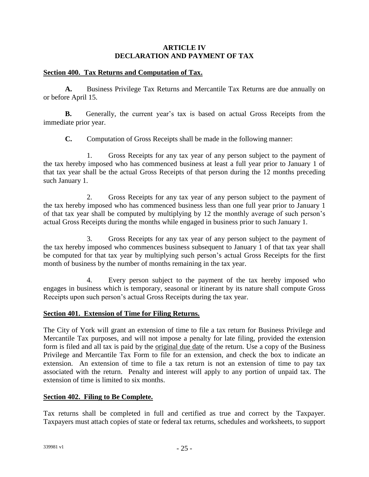#### **ARTICLE IV DECLARATION AND PAYMENT OF TAX**

#### **Section 400. Tax Returns and Computation of Tax.**

**A.** Business Privilege Tax Returns and Mercantile Tax Returns are due annually on or before April 15.

**B.** Generally, the current year's tax is based on actual Gross Receipts from the immediate prior year.

**C.** Computation of Gross Receipts shall be made in the following manner:

1. Gross Receipts for any tax year of any person subject to the payment of the tax hereby imposed who has commenced business at least a full year prior to January 1 of that tax year shall be the actual Gross Receipts of that person during the 12 months preceding such January 1.

2. Gross Receipts for any tax year of any person subject to the payment of the tax hereby imposed who has commenced business less than one full year prior to January 1 of that tax year shall be computed by multiplying by 12 the monthly average of such person's actual Gross Receipts during the months while engaged in business prior to such January 1.

3. Gross Receipts for any tax year of any person subject to the payment of the tax hereby imposed who commences business subsequent to January 1 of that tax year shall be computed for that tax year by multiplying such person's actual Gross Receipts for the first month of business by the number of months remaining in the tax year.

4. Every person subject to the payment of the tax hereby imposed who engages in business which is temporary, seasonal or itinerant by its nature shall compute Gross Receipts upon such person's actual Gross Receipts during the tax year.

#### **Section 401. Extension of Time for Filing Returns.**

The City of York will grant an extension of time to file a tax return for Business Privilege and Mercantile Tax purposes, and will not impose a penalty for late filing, provided the extension form is filed and all tax is paid by the original due date of the return. Use a copy of the Business Privilege and Mercantile Tax Form to file for an extension, and check the box to indicate an extension. An extension of time to file a tax return is not an extension of time to pay tax associated with the return. Penalty and interest will apply to any portion of unpaid tax. The extension of time is limited to six months.

#### **Section 402. Filing to Be Complete.**

Tax returns shall be completed in full and certified as true and correct by the Taxpayer. Taxpayers must attach copies of state or federal tax returns, schedules and worksheets, to support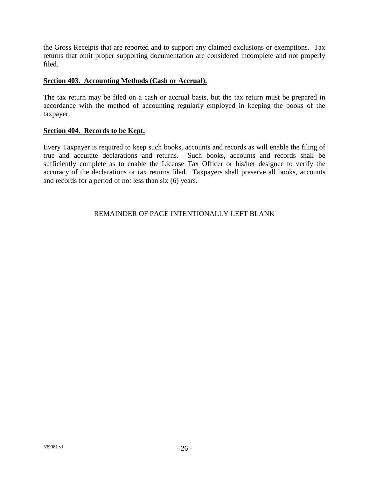the Gross Receipts that are reported and to support any claimed exclusions or exemptions. Tax returns that omit proper supporting documentation are considered incomplete and not properly filed.

#### **Section 403. Accounting Methods (Cash or Accrual).**

The tax return may be filed on a cash or accrual basis, but the tax return must be prepared in accordance with the method of accounting regularly employed in keeping the books of the taxpayer.

#### **Section 404. Records to be Kept.**

Every Taxpayer is required to keep such books, accounts and records as will enable the filing of true and accurate declarations and returns. Such books, accounts and records shall be sufficiently complete as to enable the License Tax Officer or his/her designee to verify the accuracy of the declarations or tax returns filed. Taxpayers shall preserve all books, accounts and records for a period of not less than six (6) years.

#### REMAINDER OF PAGE INTENTIONALLY LEFT BLANK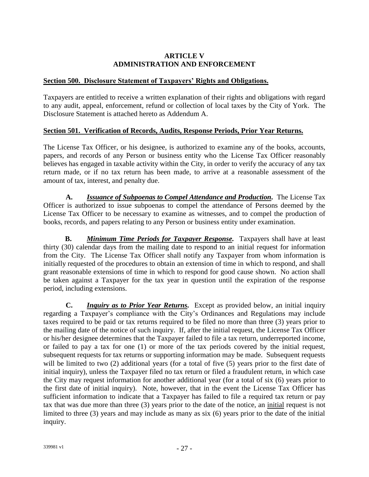#### **ARTICLE V ADMINISTRATION AND ENFORCEMENT**

#### **Section 500. Disclosure Statement of Taxpayers' Rights and Obligations.**

Taxpayers are entitled to receive a written explanation of their rights and obligations with regard to any audit, appeal, enforcement, refund or collection of local taxes by the City of York. The Disclosure Statement is attached hereto as Addendum A.

#### **Section 501. Verification of Records, Audits, Response Periods, Prior Year Returns.**

The License Tax Officer, or his designee, is authorized to examine any of the books, accounts, papers, and records of any Person or business entity who the License Tax Officer reasonably believes has engaged in taxable activity within the City, in order to verify the accuracy of any tax return made, or if no tax return has been made, to arrive at a reasonable assessment of the amount of tax, interest, and penalty due.

**A.** *Issuance of Subpoenas to Compel Attendance and Production.* The License Tax Officer is authorized to issue subpoenas to compel the attendance of Persons deemed by the License Tax Officer to be necessary to examine as witnesses, and to compel the production of books, records, and papers relating to any Person or business entity under examination.

**B.** *Minimum Time Periods for Taxpayer Response.* Taxpayers shall have at least thirty (30) calendar days from the mailing date to respond to an initial request for information from the City. The License Tax Officer shall notify any Taxpayer from whom information is initially requested of the procedures to obtain an extension of time in which to respond, and shall grant reasonable extensions of time in which to respond for good cause shown. No action shall be taken against a Taxpayer for the tax year in question until the expiration of the response period, including extensions.

**C.** *Inquiry as to Prior Year Returns.* Except as provided below, an initial inquiry regarding a Taxpayer's compliance with the City's Ordinances and Regulations may include taxes required to be paid or tax returns required to be filed no more than three (3) years prior to the mailing date of the notice of such inquiry. If, after the initial request, the License Tax Officer or his/her designee determines that the Taxpayer failed to file a tax return, underreported income, or failed to pay a tax for one (1) or more of the tax periods covered by the initial request, subsequent requests for tax returns or supporting information may be made. Subsequent requests will be limited to two (2) additional years (for a total of five (5) years prior to the first date of initial inquiry), unless the Taxpayer filed no tax return or filed a fraudulent return, in which case the City may request information for another additional year (for a total of six (6) years prior to the first date of initial inquiry). Note, however, that in the event the License Tax Officer has sufficient information to indicate that a Taxpayer has failed to file a required tax return or pay tax that was due more than three (3) years prior to the date of the notice, an initial request is not limited to three (3) years and may include as many as six (6) years prior to the date of the initial inquiry.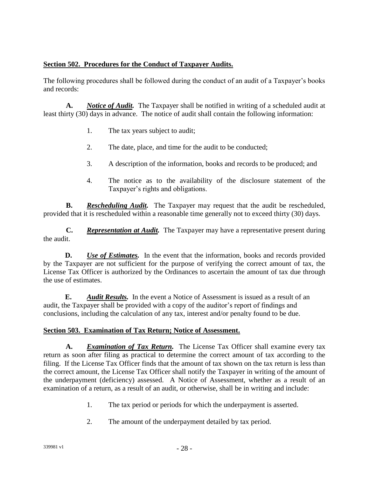### **Section 502. Procedures for the Conduct of Taxpayer Audits.**

The following procedures shall be followed during the conduct of an audit of a Taxpayer's books and records:

**A.** *Notice of Audit.* The Taxpayer shall be notified in writing of a scheduled audit at least thirty (30) days in advance. The notice of audit shall contain the following information:

- 1. The tax years subject to audit;
- 2. The date, place, and time for the audit to be conducted;
- 3. A description of the information, books and records to be produced; and
- 4. The notice as to the availability of the disclosure statement of the Taxpayer's rights and obligations.

**B.** *Rescheduling Audit.* The Taxpayer may request that the audit be rescheduled, provided that it is rescheduled within a reasonable time generally not to exceed thirty (30) days.

**C.** *Representation at Audit.* The Taxpayer may have a representative present during the audit.

**D.** *Use of Estimates.* In the event that the information, books and records provided by the Taxpayer are not sufficient for the purpose of verifying the correct amount of tax, the License Tax Officer is authorized by the Ordinances to ascertain the amount of tax due through the use of estimates.

**E.** *Audit Results.* In the event a Notice of Assessment is issued as a result of an audit, the Taxpayer shall be provided with a copy of the auditor's report of findings and conclusions, including the calculation of any tax, interest and/or penalty found to be due.

#### **Section 503. Examination of Tax Return; Notice of Assessment.**

**A.** *Examination of Tax Return.* The License Tax Officer shall examine every tax return as soon after filing as practical to determine the correct amount of tax according to the filing. If the License Tax Officer finds that the amount of tax shown on the tax return is less than the correct amount, the License Tax Officer shall notify the Taxpayer in writing of the amount of the underpayment (deficiency) assessed. A Notice of Assessment, whether as a result of an examination of a return, as a result of an audit, or otherwise, shall be in writing and include:

- 1. The tax period or periods for which the underpayment is asserted.
- 2. The amount of the underpayment detailed by tax period.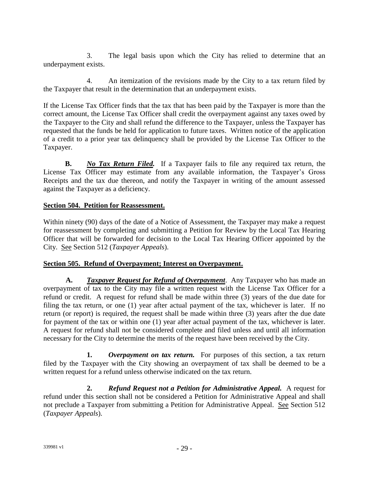3. The legal basis upon which the City has relied to determine that an underpayment exists.

4. An itemization of the revisions made by the City to a tax return filed by the Taxpayer that result in the determination that an underpayment exists.

If the License Tax Officer finds that the tax that has been paid by the Taxpayer is more than the correct amount, the License Tax Officer shall credit the overpayment against any taxes owed by the Taxpayer to the City and shall refund the difference to the Taxpayer, unless the Taxpayer has requested that the funds be held for application to future taxes. Written notice of the application of a credit to a prior year tax delinquency shall be provided by the License Tax Officer to the Taxpayer.

**B.** *No Tax Return Filed.* If a Taxpayer fails to file any required tax return, the License Tax Officer may estimate from any available information, the Taxpayer's Gross Receipts and the tax due thereon, and notify the Taxpayer in writing of the amount assessed against the Taxpayer as a deficiency.

#### **Section 504. Petition for Reassessment.**

Within ninety (90) days of the date of a Notice of Assessment, the Taxpayer may make a request for reassessment by completing and submitting a Petition for Review by the Local Tax Hearing Officer that will be forwarded for decision to the Local Tax Hearing Officer appointed by the City. See Section 512 (*Taxpayer Appeals*).

#### **Section 505. Refund of Overpayment; Interest on Overpayment.**

**A.** *Taxpayer Request for Refund of Overpayment*. Any Taxpayer who has made an overpayment of tax to the City may file a written request with the License Tax Officer for a refund or credit. A request for refund shall be made within three (3) years of the due date for filing the tax return, or one (1) year after actual payment of the tax, whichever is later. If no return (or report) is required, the request shall be made within three (3) years after the due date for payment of the tax or within one (1) year after actual payment of the tax, whichever is later. A request for refund shall not be considered complete and filed unless and until all information necessary for the City to determine the merits of the request have been received by the City.

**1.** *Overpayment on tax return.* For purposes of this section, a tax return filed by the Taxpayer with the City showing an overpayment of tax shall be deemed to be a written request for a refund unless otherwise indicated on the tax return.

**2.** *Refund Request not a Petition for Administrative Appeal.* A request for refund under this section shall not be considered a Petition for Administrative Appeal and shall not preclude a Taxpayer from submitting a Petition for Administrative Appeal. See Section 512 (*Taxpayer Appeals*).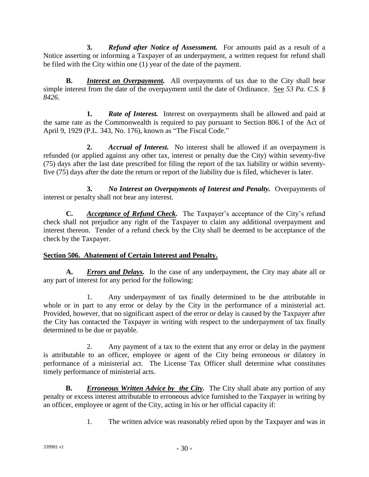**3.** *Refund after Notice of Assessment.* For amounts paid as a result of a Notice asserting or informing a Taxpayer of an underpayment, a written request for refund shall be filed with the City within one (1) year of the date of the payment.

**B.** *Interest on Overpayment.* All overpayments of tax due to the City shall bear simple interest from the date of the overpayment until the date of Ordinance. See *53 Pa. C.S. § 8426*.

**1.** *Rate of Interest.* Interest on overpayments shall be allowed and paid at the same rate as the Commonwealth is required to pay pursuant to Section 806.1 of the Act of April 9, 1929 (P.L. 343, No. 176), known as "The Fiscal Code."

**2.** *Accrual of Interest.* No interest shall be allowed if an overpayment is refunded (or applied against any other tax, interest or penalty due the City) within seventy-five (75) days after the last date prescribed for filing the report of the tax liability or within seventyfive (75) days after the date the return or report of the liability due is filed, whichever is later.

**3.** *No Interest on Overpayments of Interest and Penalty.* Overpayments of interest or penalty shall not bear any interest.

**C.** *Acceptance of Refund Check.* The Taxpayer's acceptance of the City's refund check shall not prejudice any right of the Taxpayer to claim any additional overpayment and interest thereon. Tender of a refund check by the City shall be deemed to be acceptance of the check by the Taxpayer.

# **Section 506. Abatement of Certain Interest and Penalty.**

**A.** *Errors and Delays.* In the case of any underpayment, the City may abate all or any part of interest for any period for the following:

1. Any underpayment of tax finally determined to be due attributable in whole or in part to any error or delay by the City in the performance of a ministerial act. Provided, however, that no significant aspect of the error or delay is caused by the Taxpayer after the City has contacted the Taxpayer in writing with respect to the underpayment of tax finally determined to be due or payable.

2. Any payment of a tax to the extent that any error or delay in the payment is attributable to an officer, employee or agent of the City being erroneous or dilatory in performance of a ministerial act. The License Tax Officer shall determine what constitutes timely performance of ministerial acts.

**B.** *Erroneous Written Advice by the City.* The City shall abate any portion of any penalty or excess interest attributable to erroneous advice furnished to the Taxpayer in writing by an officer, employee or agent of the City, acting in his or her official capacity if:

1. The written advice was reasonably relied upon by the Taxpayer and was in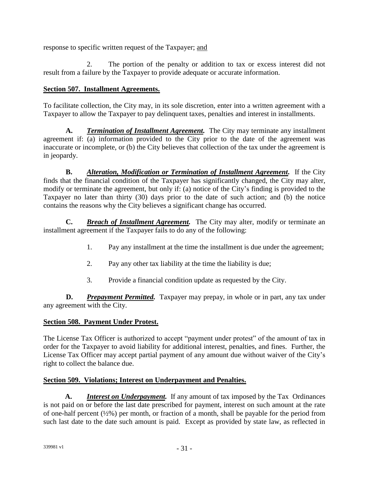response to specific written request of the Taxpayer; and

2. The portion of the penalty or addition to tax or excess interest did not result from a failure by the Taxpayer to provide adequate or accurate information.

# **Section 507. Installment Agreements.**

To facilitate collection, the City may, in its sole discretion, enter into a written agreement with a Taxpayer to allow the Taxpayer to pay delinquent taxes, penalties and interest in installments.

**A.** *Termination of Installment Agreement.* The City may terminate any installment agreement if: (a) information provided to the City prior to the date of the agreement was inaccurate or incomplete, or (b) the City believes that collection of the tax under the agreement is in jeopardy.

**B.** *Alteration, Modification or Termination of Installment Agreement.* If the City finds that the financial condition of the Taxpayer has significantly changed, the City may alter, modify or terminate the agreement, but only if: (a) notice of the City's finding is provided to the Taxpayer no later than thirty (30) days prior to the date of such action; and (b) the notice contains the reasons why the City believes a significant change has occurred.

**C.** *Breach of Installment Agreement.* The City may alter, modify or terminate an installment agreement if the Taxpayer fails to do any of the following:

- 1. Pay any installment at the time the installment is due under the agreement;
- 2. Pay any other tax liability at the time the liability is due;
- 3. Provide a financial condition update as requested by the City.

**D.** *Prepayment Permitted.* Taxpayer may prepay, in whole or in part, any tax under any agreement with the City.

#### **Section 508. Payment Under Protest.**

The License Tax Officer is authorized to accept "payment under protest" of the amount of tax in order for the Taxpayer to avoid liability for additional interest, penalties, and fines. Further, the License Tax Officer may accept partial payment of any amount due without waiver of the City's right to collect the balance due.

#### **Section 509. Violations; Interest on Underpayment and Penalties.**

**A.** *Interest on Underpayment.* If any amount of tax imposed by the Tax Ordinances is not paid on or before the last date prescribed for payment, interest on such amount at the rate of one-half percent (½%) per month, or fraction of a month, shall be payable for the period from such last date to the date such amount is paid. Except as provided by state law, as reflected in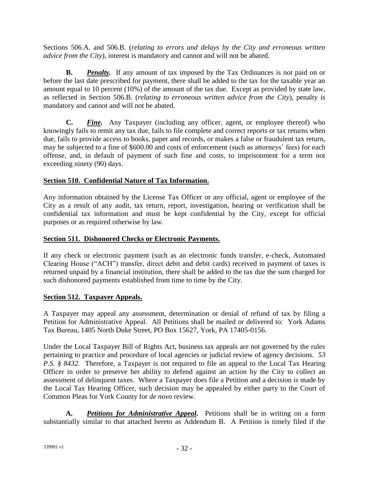Sections 506.A. and 506.B. (*relating to errors and delays by the City and erroneous written advice from the City*), interest is mandatory and cannot and will not be abated.

**B.** *Penalty.* If any amount of tax imposed by the Tax Ordinances is not paid on or before the last date prescribed for payment, there shall be added to the tax for the taxable year an amount equal to 10 percent (10%) of the amount of the tax due. Except as provided by state law, as reflected in Section 506.B. (*relating to erroneous written advice from the City*), penalty is mandatory and cannot and will not be abated.

**C.** *Fine.* Any Taxpayer (including any officer, agent, or employee thereof) who knowingly fails to remit any tax due, fails to file complete and correct reports or tax returns when due, fails to provide access to books, paper and records, or makes a false or fraudulent tax return, may be subjected to a fine of \$600.00 and costs of enforcement (such as attorneys' fees) for each offense, and, in default of payment of such fine and costs, to imprisonment for a term not exceeding ninety (90) days.

# **Section 510. Confidential Nature of Tax Information.**

Any information obtained by the License Tax Officer or any official, agent or employee of the City as a result of any audit, tax return, report, investigation, hearing or verification shall be confidential tax information and must be kept confidential by the City, except for official purposes or as required otherwise by law.

# **Section 511. Dishonored Checks or Electronic Payments.**

If any check or electronic payment (such as an electronic funds transfer, e-check, Automated Clearing House ("ACH") transfer, direct debit and debit cards) received in payment of taxes is returned unpaid by a financial institution, there shall be added to the tax due the sum charged for such dishonored payments established from time to time by the City.

# **Section 512. Taxpayer Appeals.**

A Taxpayer may appeal any assessment, determination or denial of refund of tax by filing a Petition for Administrative Appeal. All Petitions shall be mailed or delivered to: York Adams Tax Bureau, 1405 North Duke Street, PO Box 15627, York, PA 17405-0156.

Under the Local Taxpayer Bill of Rights Act, business tax appeals are not governed by the rules pertaining to practice and procedure of local agencies or judicial review of agency decisions. *53 P.S.* § 8432. Therefore, a Taxpayer is not required to file an appeal to the Local Tax Hearing Officer in order to preserve her ability to defend against an action by the City to collect an assessment of delinquent taxes. Where a Taxpayer does file a Petition and a decision is made by the Local Tax Hearing Officer, such decision may be appealed by either party to the Court of Common Pleas for York County for *de novo* review.

**A.** *Petitions for Administrative Appeal.* Petitions shall be in writing on a form substantially similar to that attached hereto as Addendum B. A Petition is timely filed if the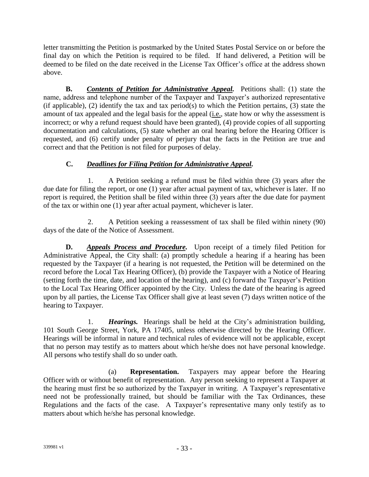letter transmitting the Petition is postmarked by the United States Postal Service on or before the final day on which the Petition is required to be filed. If hand delivered, a Petition will be deemed to be filed on the date received in the License Tax Officer's office at the address shown above.

**B.** *Contents of Petition for Administrative Appeal.* Petitions shall: (1) state the name, address and telephone number of the Taxpayer and Taxpayer's authorized representative (if applicable), (2) identify the tax and tax period(s) to which the Petition pertains, (3) state the amount of tax appealed and the legal basis for the appeal (i.e., state how or why the assessment is incorrect; or why a refund request should have been granted), (4) provide copies of all supporting documentation and calculations, (5) state whether an oral hearing before the Hearing Officer is requested, and (6) certify under penalty of perjury that the facts in the Petition are true and correct and that the Petition is not filed for purposes of delay.

# **C.** *Deadlines for Filing Petition for Administrative Appeal.*

1. A Petition seeking a refund must be filed within three (3) years after the due date for filing the report, or one (1) year after actual payment of tax, whichever is later. If no report is required, the Petition shall be filed within three (3) years after the due date for payment of the tax or within one (1) year after actual payment, whichever is later.

2. A Petition seeking a reassessment of tax shall be filed within ninety (90) days of the date of the Notice of Assessment.

**D.** *Appeals Process and Procedure.* Upon receipt of a timely filed Petition for Administrative Appeal, the City shall: (a) promptly schedule a hearing if a hearing has been requested by the Taxpayer (if a hearing is not requested, the Petition will be determined on the record before the Local Tax Hearing Officer), (b) provide the Taxpayer with a Notice of Hearing (setting forth the time, date, and location of the hearing), and (c) forward the Taxpayer's Petition to the Local Tax Hearing Officer appointed by the City. Unless the date of the hearing is agreed upon by all parties, the License Tax Officer shall give at least seven (7) days written notice of the hearing to Taxpayer.

1. *Hearings.* Hearings shall be held at the City's administration building, 101 South George Street, York, PA 17405, unless otherwise directed by the Hearing Officer. Hearings will be informal in nature and technical rules of evidence will not be applicable, except that no person may testify as to matters about which he/she does not have personal knowledge. All persons who testify shall do so under oath.

(a) **Representation.** Taxpayers may appear before the Hearing Officer with or without benefit of representation. Any person seeking to represent a Taxpayer at the hearing must first be so authorized by the Taxpayer in writing. A Taxpayer's representative need not be professionally trained, but should be familiar with the Tax Ordinances, these Regulations and the facts of the case. A Taxpayer's representative many only testify as to matters about which he/she has personal knowledge.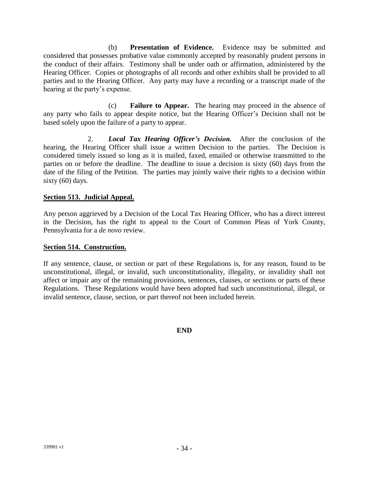(b) **Presentation of Evidence.** Evidence may be submitted and considered that possesses probative value commonly accepted by reasonably prudent persons in the conduct of their affairs. Testimony shall be under oath or affirmation, administered by the Hearing Officer. Copies or photographs of all records and other exhibits shall be provided to all parties and to the Hearing Officer. Any party may have a recording or a transcript made of the hearing at the party's expense.

(c) **Failure to Appear.** The hearing may proceed in the absence of any party who fails to appear despite notice, but the Hearing Officer's Decision shall not be based solely upon the failure of a party to appear.

2. *Local Tax Hearing Officer's Decision.* After the conclusion of the hearing, the Hearing Officer shall issue a written Decision to the parties. The Decision is considered timely issued so long as it is mailed, faxed, emailed or otherwise transmitted to the parties on or before the deadline. The deadline to issue a decision is sixty (60) days from the date of the filing of the Petition. The parties may jointly waive their rights to a decision within sixty (60) days.

#### **Section 513. Judicial Appeal.**

Any person aggrieved by a Decision of the Local Tax Hearing Officer, who has a direct interest in the Decision, has the right to appeal to the Court of Common Pleas of York County, Pennsylvania for a *de novo* review.

#### **Section 514. Construction.**

If any sentence, clause, or section or part of these Regulations is, for any reason, found to be unconstitutional, illegal, or invalid, such unconstitutionality, illegality, or invalidity shall not affect or impair any of the remaining provisions, sentences, clauses, or sections or parts of these Regulations. These Regulations would have been adopted had such unconstitutional, illegal, or invalid sentence, clause, section, or part thereof not been included herein.

**END**